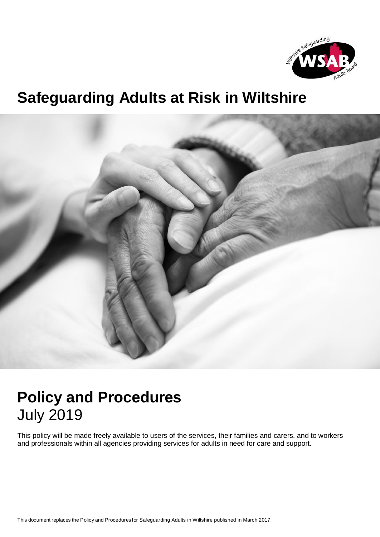

## **Safeguarding Adults at Risk in Wiltshire**



## **Policy and Procedures**  July 2019

This policy will be made freely available to users of the services, their families and carers, and to workers and professionals within all agencies providing services for adults in need for care and support.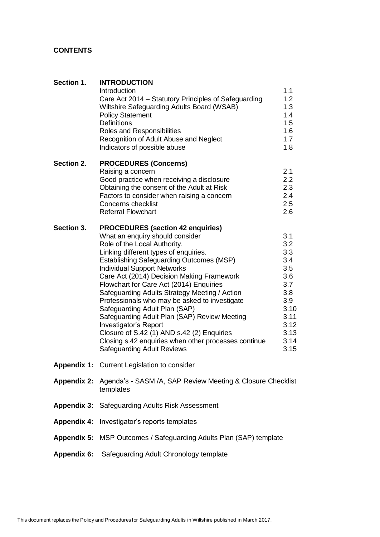## **CONTENTS**

| Section 1.         | <b>INTRODUCTION</b><br>Introduction<br>Care Act 2014 – Statutory Principles of Safeguarding<br>Wiltshire Safeguarding Adults Board (WSAB)<br><b>Policy Statement</b><br><b>Definitions</b><br>Roles and Responsibilities<br>Recognition of Adult Abuse and Neglect<br>Indicators of possible abuse                                                                                                                                                                                                                                                                                                                                                                                           | 1.1<br>1.2<br>1.3<br>1.4<br>1.5<br>1.6<br>1.7<br>1.8                                                        |
|--------------------|----------------------------------------------------------------------------------------------------------------------------------------------------------------------------------------------------------------------------------------------------------------------------------------------------------------------------------------------------------------------------------------------------------------------------------------------------------------------------------------------------------------------------------------------------------------------------------------------------------------------------------------------------------------------------------------------|-------------------------------------------------------------------------------------------------------------|
| Section 2.         | <b>PROCEDURES (Concerns)</b><br>Raising a concern<br>Good practice when receiving a disclosure<br>Obtaining the consent of the Adult at Risk<br>Factors to consider when raising a concern<br><b>Concerns checklist</b><br><b>Referral Flowchart</b>                                                                                                                                                                                                                                                                                                                                                                                                                                         | 2.1<br>$2.2\phantom{0}$<br>2.3<br>2.4<br>2.5<br>2.6                                                         |
| Section 3.         | <b>PROCEDURES (section 42 enquiries)</b><br>What an enquiry should consider<br>Role of the Local Authority.<br>Linking different types of enquiries.<br><b>Establishing Safeguarding Outcomes (MSP)</b><br><b>Individual Support Networks</b><br>Care Act (2014) Decision Making Framework<br>Flowchart for Care Act (2014) Enquiries<br>Safeguarding Adults Strategy Meeting / Action<br>Professionals who may be asked to investigate<br>Safeguarding Adult Plan (SAP)<br>Safeguarding Adult Plan (SAP) Review Meeting<br>Investigator's Report<br>Closure of S.42 (1) AND s.42 (2) Enquiries<br>Closing s.42 enquiries when other processes continue<br><b>Safeguarding Adult Reviews</b> | 3.1<br>3.2<br>3.3<br>3.4<br>3.5<br>3.6<br>3.7<br>3.8<br>3.9<br>3.10<br>3.11<br>3.12<br>3.13<br>3.14<br>3.15 |
|                    | Appendix 1: Current Legislation to consider                                                                                                                                                                                                                                                                                                                                                                                                                                                                                                                                                                                                                                                  |                                                                                                             |
|                    | Appendix 2: Agenda's - SASM /A, SAP Review Meeting & Closure Checklist<br>templates                                                                                                                                                                                                                                                                                                                                                                                                                                                                                                                                                                                                          |                                                                                                             |
|                    | <b>Appendix 3: Safeguarding Adults Risk Assessment</b>                                                                                                                                                                                                                                                                                                                                                                                                                                                                                                                                                                                                                                       |                                                                                                             |
| <b>Appendix 4:</b> | Investigator's reports templates                                                                                                                                                                                                                                                                                                                                                                                                                                                                                                                                                                                                                                                             |                                                                                                             |
| <b>Appendix 5:</b> | MSP Outcomes / Safeguarding Adults Plan (SAP) template                                                                                                                                                                                                                                                                                                                                                                                                                                                                                                                                                                                                                                       |                                                                                                             |
| <b>Appendix 6:</b> | Safeguarding Adult Chronology template                                                                                                                                                                                                                                                                                                                                                                                                                                                                                                                                                                                                                                                       |                                                                                                             |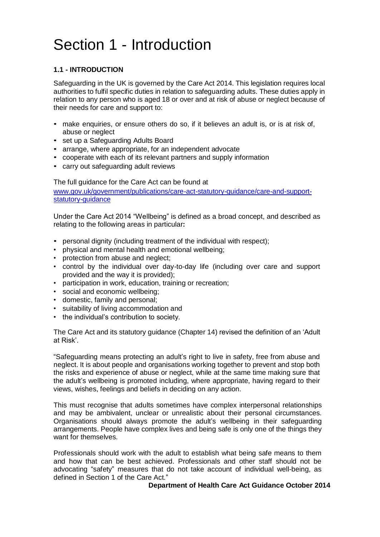# Section 1 - Introduction

## **1.1 - INTRODUCTION**

Safeguarding in the UK is governed by the Care Act 2014. This legislation requires local authorities to fulfil specific duties in relation to safeguarding adults. These duties apply in relation to any person who is aged 18 or over and at risk of abuse or neglect because of their needs for care and support to:

- make enquiries, or ensure others do so, if it believes an adult is, or is at risk of, abuse or neglect
- set up a Safeguarding Adults Board
- arrange, where appropriate, for an independent advocate
- cooperate with each of its relevant partners and supply information
- carry out safeguarding adult reviews

The full guidance for the Care Act can be found at

[www.gov.uk/government/publications/care-act-statutory-guidance/care-and-support](http://www.gov.uk/government/publications/care-act-statutory-guidance/care-and-support-statutory-guidance)statutory-quidance

Under the Care Act 2014 "Wellbeing" is defined as a broad concept, and described as relating to the following areas in particular**:**

- personal dignity (including treatment of the individual with respect);
- physical and mental health and emotional wellbeing;
- protection from abuse and neglect;
- control by the individual over day-to-day life (including over care and support provided and the way it is provided);
- participation in work, education, training or recreation;
- social and economic wellbeing;
- domestic, family and personal;
- suitability of living accommodation and
- the individual's contribution to society.

The Care Act and its statutory guidance (Chapter 14) revised the definition of an 'Adult at Risk'.

"Safeguarding means protecting an adult's right to live in safety, free from abuse and neglect. It is about people and organisations working together to prevent and stop both the risks and experience of abuse or neglect, while at the same time making sure that the adult's wellbeing is promoted including, where appropriate, having regard to their views, wishes, feelings and beliefs in deciding on any action.

This must recognise that adults sometimes have complex interpersonal relationships and may be ambivalent, unclear or unrealistic about their personal circumstances. Organisations should always promote the adult's wellbeing in their safeguarding arrangements. People have complex lives and being safe is only one of the things they want for themselves

Professionals should work with the adult to establish what being safe means to them and how that can be best achieved. Professionals and other staff should not be advocating "safety" measures that do not take account of individual well-being, as defined in Section 1 of the Care Act."

## **Department of Health Care Act Guidance October 2014**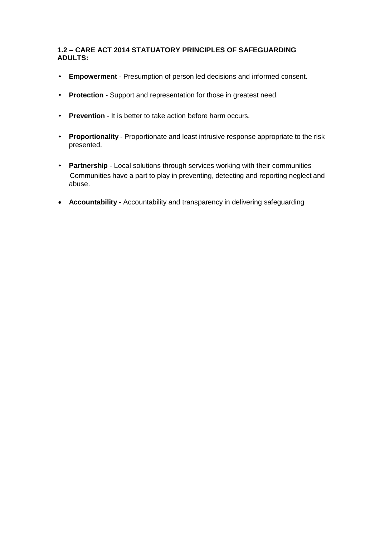## **1.2 – CARE ACT 2014 STATUATORY PRINCIPLES OF SAFEGUARDING ADULTS:**

- **Empowerment**  Presumption of person led decisions and informed consent.
- **Protection** Support and representation for those in greatest need.
- **Prevention** It is better to take action before harm occurs.
- **Proportionality** Proportionate and least intrusive response appropriate to the risk presented.
- **Partnership** Local solutions through services working with their communities Communities have a part to play in preventing, detecting and reporting neglect and abuse.
- **Accountability** Accountability and transparency in delivering safeguarding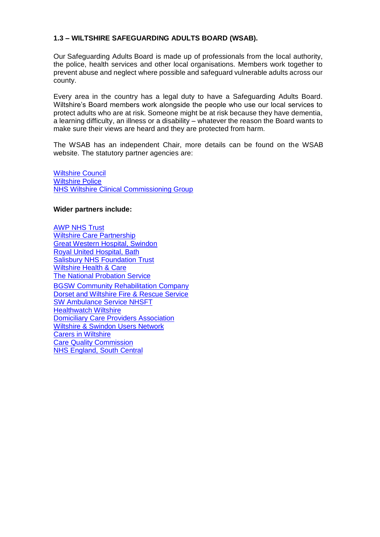## **1.3 – WILTSHIRE SAFEGUARDING ADULTS BOARD (WSAB).**

Our Safeguarding Adults Board is made up of professionals from the local authority, the police, health services and other local organisations. Members work together to prevent abuse and neglect where possible and safeguard vulnerable adults across our county.

Every area in the country has a legal duty to have a Safeguarding Adults Board. Wiltshire's Board members work alongside the people who use our local services to protect adults who are at risk. Someone might be at risk because they have dementia, a learning difficulty, an illness or a disability – whatever the reason the Board wants to make sure their views are heard and they are protected from harm.

The WSAB has an independent Chair, more details can be found on the WSAB website. The statutory partner agencies are:

[Wiltshire Council](http://www.wiltshire.gov.uk/) [Wiltshire Police](http://www.wiltshire.police.uk/) [NHS Wiltshire Clinical Commissioning Group](http://www.wiltshireccg.nhs.uk/)

## **Wider partners include:**

[AWP NHS Trust](http://www.awp.nhs.uk/) [Wiltshire Care Partnership](http://www.wiltshirecarepartnership.org.uk/) [Great Western Hospital, Swindon](http://www.gwh.nhs.uk/) [Royal United Hospital, Bath](http://www.ruh.nhs.uk/) [Salisbury NHS Foundation Trust](http://www.salisbury.nhs.uk/Pages/home.aspx) [Wiltshire Health & Care](http://wiltshirehealthandcare.nhs.uk/) [The National Probation Service](http://www.traintobeaprobationofficer.com/) [BGSW Community Rehabilitation Company](http://www.bgswcrc.co.uk/) [Dorset and Wiltshire Fire & Rescue Service](https://www.dwfire.org.uk/) [SW Ambulance Service NHSFT](http://www.swast.nhs.uk/) [Healthwatch Wiltshire](https://www.healthwatchwiltshire.co.uk/) [Domiciliary Care Providers Association](http://www.carechoices.co.uk/the-wiltshire-domiciliary-care-providers-association/) Wiltshire [& Swindon Users Network](http://wsun.co.uk/) [Carers in Wiltshire](http://carersinwiltshire.co.uk/) [Care Quality Commission](http://www.cqc.org.uk/) [NHS England, South Central](https://www.england.nhs.uk/south/)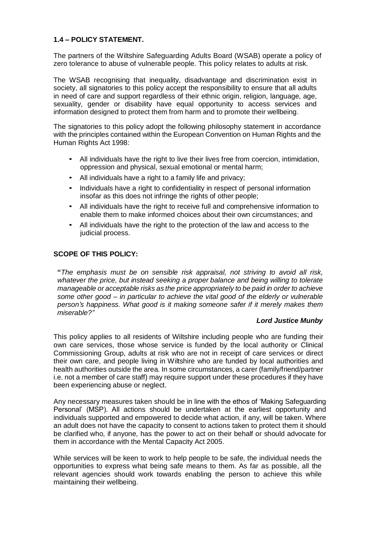## **1.4 – POLICY STATEMENT.**

The partners of the Wiltshire Safeguarding Adults Board (WSAB) operate a policy of zero tolerance to abuse of vulnerable people. This policy relates to adults at risk.

The WSAB recognising that inequality, disadvantage and discrimination exist in society, all signatories to this policy accept the responsibility to ensure that all adults in need of care and support regardless of their ethnic origin, religion, language, age, sexuality, gender or disability have equal opportunity to access services and information designed to protect them from harm and to promote their wellbeing.

The signatories to this policy adopt the following philosophy statement in accordance with the principles contained within the European Convention on Human Rights and the Human Rights Act 1998:

- All individuals have the right to live their lives free from coercion, intimidation, oppression and physical, sexual emotional or mental harm;
- All individuals have a right to a family life and privacy;
- Individuals have a right to confidentiality in respect of personal information insofar as this does not infringe the rights of other people;
- All individuals have the right to receive full and comprehensive information to enable them to make informed choices about their own circumstances; and
- All individuals have the right to the protection of the law and access to the judicial process.

## **SCOPE OF THIS POLICY:**

**"***The emphasis must be on sensible risk appraisal, not striving to avoid all risk, whatever the price, but instead seeking a proper balance and being willing to tolerate manageable or acceptable risks as the price appropriately to be paid in order to achieve some other good – in particular to achieve the vital good of the elderly or vulnerable person's happiness. What good is it making someone safer if it merely makes them miserable?"*

## *Lord Justice Munby*

This policy applies to all residents of Wiltshire including people who are funding their own care services, those whose service is funded by the local authority or Clinical Commissioning Group, adults at risk who are not in receipt of care services or direct their own care, and people living in Wiltshire who are funded by local authorities and health authorities outside the area. In some circumstances, a carer (family/friend/partner i.e. not a member of care staff) may require support under these procedures if they have been experiencing abuse or neglect.

Any necessary measures taken should be in line with the ethos of 'Making Safeguarding Personal' (MSP). All actions should be undertaken at the earliest opportunity and individuals supported and empowered to decide what action, if any, will be taken. Where an adult does not have the capacity to consent to actions taken to protect them it should be clarified who, if anyone, has the power to act on their behalf or should advocate for them in accordance with the Mental Capacity Act 2005.

While services will be keen to work to help people to be safe, the individual needs the opportunities to express what being safe means to them. As far as possible, all the relevant agencies should work towards enabling the person to achieve this while maintaining their wellbeing.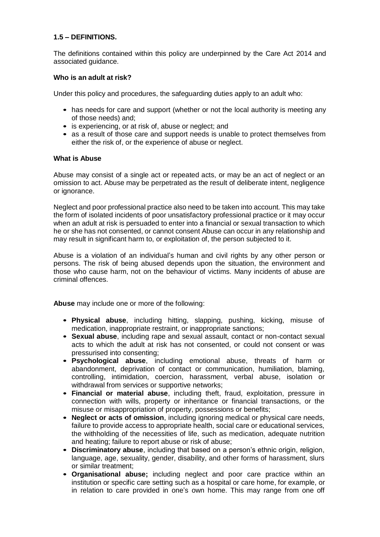## **1.5 – DEFINITIONS.**

The definitions contained within this policy are underpinned by the Care Act 2014 and associated guidance.

## **Who is an adult at risk?**

Under this policy and procedures, the safeguarding duties apply to an adult who:

- has needs for care and support (whether or not the local authority is meeting any of those needs) and;
- is experiencing, or at risk of, abuse or neglect; and
- as a result of those care and support needs is unable to protect themselves from either the risk of, or the experience of abuse or neglect.

## **What is Abuse**

Abuse may consist of a single act or repeated acts, or may be an act of neglect or an omission to act. Abuse may be perpetrated as the result of deliberate intent, negligence or ignorance.

Neglect and poor professional practice also need to be taken into account. This may take the form of isolated incidents of poor unsatisfactory professional practice or it may occur when an adult at risk is persuaded to enter into a financial or sexual transaction to which he or she has not consented, or cannot consent Abuse can occur in any relationship and may result in significant harm to, or exploitation of, the person subjected to it.

Abuse is a violation of an individual's human and civil rights by any other person or persons. The risk of being abused depends upon the situation, the environment and those who cause harm, not on the behaviour of victims. Many incidents of abuse are criminal offences.

**Abuse** may include one or more of the following:

- **Physical abuse**, including hitting, slapping, pushing, kicking, misuse of medication, inappropriate restraint, or inappropriate sanctions;
- **Sexual abuse**, including rape and sexual assault, contact or non-contact sexual acts to which the adult at risk has not consented, or could not consent or was pressurised into consenting;
- **Psychological abuse**, including emotional abuse, threats of harm or abandonment, deprivation of contact or communication, humiliation, blaming, controlling, intimidation, coercion, harassment, verbal abuse, isolation or withdrawal from services or supportive networks;
- **Financial or material abuse**, including theft, fraud, exploitation, pressure in connection with wills, property or inheritance or financial transactions, or the misuse or misappropriation of property, possessions or benefits;
- **Neglect or acts of omission**, including ignoring medical or physical care needs, failure to provide access to appropriate health, social care or educational services, the withholding of the necessities of life, such as medication, adequate nutrition and heating; failure to report abuse or risk of abuse;
- **Discriminatory abuse**, including that based on a person's ethnic origin, religion, language, age, sexuality, gender, disability, and other forms of harassment, slurs or similar treatment;
- **Organisational abuse;** including neglect and poor care practice within an institution or specific care setting such as a hospital or care home, for example, or in relation to care provided in one's own home. This may range from one off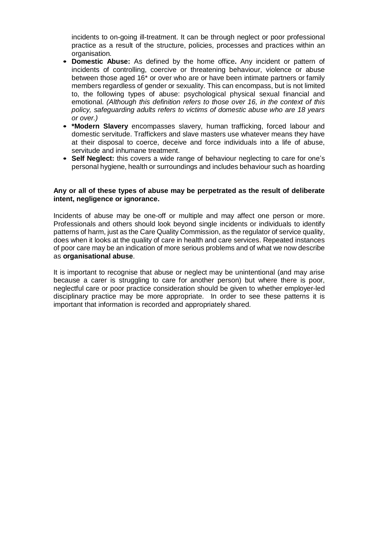incidents to on-going ill-treatment. It can be through neglect or poor professional practice as a result of the structure, policies, processes and practices within an organisation*.*

- **Domestic Abuse:** As defined by the home office**.** Any incident or pattern of incidents of controlling, coercive or threatening behaviour, violence or abuse between those aged 16\* or over who are or have been intimate partners or family members regardless of gender or sexuality. This can encompass, but is not limited to, the following types of abuse: psychological physical sexual financial and emotional. *(Although this definition refers to those over 16, in the context of this policy, safeguarding adults refers to victims of domestic abuse who are 18 years or over.)*
- **\*Modern Slavery** encompasses slavery, human trafficking, forced labour and domestic servitude. Traffickers and slave masters use whatever means they have at their disposal to coerce, deceive and force individuals into a life of abuse, servitude and inhumane treatment.
- **Self Neglect:** this covers a wide range of behaviour neglecting to care for one's personal hygiene, health or surroundings and includes behaviour such as hoarding

## **Any or all of these types of abuse may be perpetrated as the result of deliberate intent, negligence or ignorance.**

Incidents of abuse may be one-off or multiple and may affect one person or more. Professionals and others should look beyond single incidents or individuals to identify patterns of harm, just as the Care Quality Commission, as the regulator of service quality, does when it looks at the quality of care in health and care services. Repeated instances of poor care may be an indication of more serious problems and of what we now describe as **organisational abuse**.

It is important to recognise that abuse or neglect may be unintentional (and may arise because a carer is struggling to care for another person) but where there is poor, neglectful care or poor practice consideration should be given to whether employer-led disciplinary practice may be more appropriate. In order to see these patterns it is important that information is recorded and appropriately shared.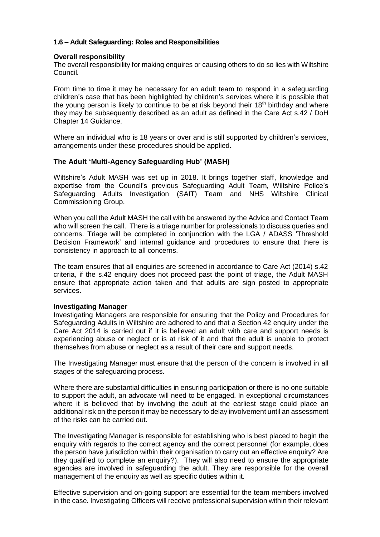## **1.6 – Adult Safeguarding: Roles and Responsibilities**

## **Overall responsibility**

The overall responsibility for making enquires or causing others to do so lies with Wiltshire Council.

From time to time it may be necessary for an adult team to respond in a safeguarding children's case that has been highlighted by children's services where it is possible that the young person is likely to continue to be at risk beyond their  $18<sup>th</sup>$  birthday and where they may be subsequently described as an adult as defined in the Care Act s.42 / DoH Chapter 14 Guidance.

Where an individual who is 18 years or over and is still supported by children's services, arrangements under these procedures should be applied.

## **The Adult 'Multi-Agency Safeguarding Hub' (MASH)**

Wiltshire's Adult MASH was set up in 2018. It brings together staff, knowledge and expertise from the Council's previous Safeguarding Adult Team, Wiltshire Police's Safeguarding Adults Investigation (SAIT) Team and NHS Wiltshire Clinical Commissioning Group.

When you call the Adult MASH the call with be answered by the Advice and Contact Team who will screen the call. There is a triage number for professionals to discuss queries and concerns. Triage will be completed in conjunction with the LGA / ADASS 'Threshold Decision Framework' and internal guidance and procedures to ensure that there is consistency in approach to all concerns.

The team ensures that all enquiries are screened in accordance to Care Act (2014) s.42 criteria, if the s.42 enquiry does not proceed past the point of triage, the Adult MASH ensure that appropriate action taken and that adults are sign posted to appropriate services.

## **Investigating Manager**

Investigating Managers are responsible for ensuring that the Policy and Procedures for Safeguarding Adults in Wiltshire are adhered to and that a Section 42 enquiry under the Care Act 2014 is carried out if it is believed an adult with care and support needs is experiencing abuse or neglect or is at risk of it and that the adult is unable to protect themselves from abuse or neglect as a result of their care and support needs.

The Investigating Manager must ensure that the person of the concern is involved in all stages of the safeguarding process.

Where there are substantial difficulties in ensuring participation or there is no one suitable to support the adult, an advocate will need to be engaged. In exceptional circumstances where it is believed that by involving the adult at the earliest stage could place an additional risk on the person it may be necessary to delay involvement until an assessment of the risks can be carried out.

The Investigating Manager is responsible for establishing who is best placed to begin the enquiry with regards to the correct agency and the correct personnel (for example, does the person have jurisdiction within their organisation to carry out an effective enquiry? Are they qualified to complete an enquiry?). They will also need to ensure the appropriate agencies are involved in safeguarding the adult. They are responsible for the overall management of the enquiry as well as specific duties within it.

Effective supervision and on-going support are essential for the team members involved in the case. Investigating Officers will receive professional supervision within their relevant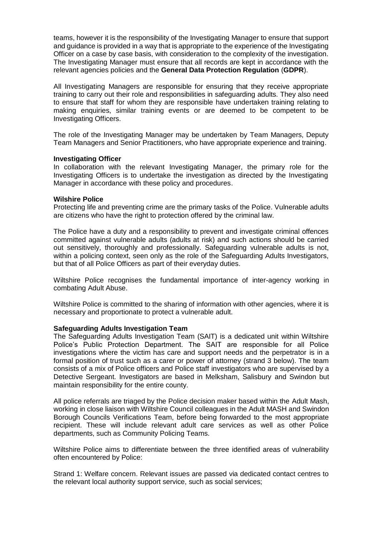teams, however it is the responsibility of the Investigating Manager to ensure that support and guidance is provided in a way that is appropriate to the experience of the Investigating Officer on a case by case basis, with consideration to the complexity of the investigation. The Investigating Manager must ensure that all records are kept in accordance with the relevant agencies policies and the **General Data Protection Regulation** (**GDPR**).

All Investigating Managers are responsible for ensuring that they receive appropriate training to carry out their role and responsibilities in safeguarding adults. They also need to ensure that staff for whom they are responsible have undertaken training relating to making enquiries, similar training events or are deemed to be competent to be Investigating Officers.

The role of the Investigating Manager may be undertaken by Team Managers, Deputy Team Managers and Senior Practitioners, who have appropriate experience and training.

#### **Investigating Officer**

In collaboration with the relevant Investigating Manager, the primary role for the Investigating Officers is to undertake the investigation as directed by the Investigating Manager in accordance with these policy and procedures.

#### **Wilshire Police**

Protecting life and preventing crime are the primary tasks of the Police. Vulnerable adults are citizens who have the right to protection offered by the criminal law.

The Police have a duty and a responsibility to prevent and investigate criminal offences committed against vulnerable adults (adults at risk) and such actions should be carried out sensitively, thoroughly and professionally. Safeguarding vulnerable adults is not, within a policing context, seen only as the role of the Safeguarding Adults Investigators, but that of all Police Officers as part of their everyday duties.

Wiltshire Police recognises the fundamental importance of inter-agency working in combating Adult Abuse.

Wiltshire Police is committed to the sharing of information with other agencies, where it is necessary and proportionate to protect a vulnerable adult.

#### **Safeguarding Adults Investigation Team**

The Safeguarding Adults Investigation Team (SAIT) is a dedicated unit within Wiltshire Police's Public Protection Department. The SAIT are responsible for all Police investigations where the victim has care and support needs and the perpetrator is in a formal position of trust such as a carer or power of attorney (strand 3 below). The team consists of a mix of Police officers and Police staff investigators who are supervised by a Detective Sergeant. Investigators are based in Melksham, Salisbury and Swindon but maintain responsibility for the entire county.

All police referrals are triaged by the Police decision maker based within the Adult Mash, working in close liaison with Wiltshire Council colleagues in the Adult MASH and Swindon Borough Councils Verifications Team, before being forwarded to the most appropriate recipient. These will include relevant adult care services as well as other Police departments, such as Community Policing Teams.

Wiltshire Police aims to differentiate between the three identified areas of vulnerability often encountered by Police:

Strand 1: Welfare concern. Relevant issues are passed via dedicated contact centres to the relevant local authority support service, such as social services;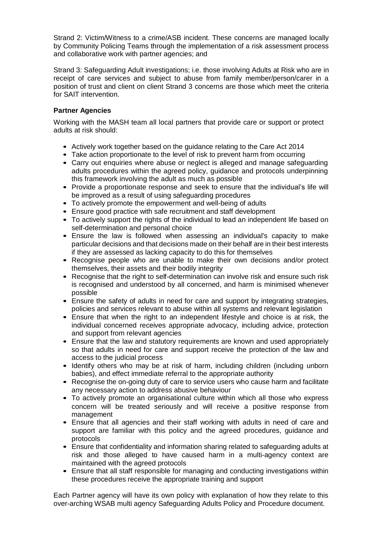Strand 2: Victim/Witness to a crime/ASB incident. These concerns are managed locally by Community Policing Teams through the implementation of a risk assessment process and collaborative work with partner agencies; and

Strand 3: Safeguarding Adult investigations; i.e. those involving Adults at Risk who are in receipt of care services and subject to abuse from family member/person/carer in a position of trust and client on client Strand 3 concerns are those which meet the criteria for SAIT intervention.

## **Partner Agencies**

Working with the MASH team all local partners that provide care or support or protect adults at risk should:

- Actively work together based on the guidance relating to the Care Act 2014
- Take action proportionate to the level of risk to prevent harm from occurring
- Carry out enquiries where abuse or neglect is alleged and manage safeguarding adults procedures within the agreed policy, guidance and protocols underpinning this framework involving the adult as much as possible
- Provide a proportionate response and seek to ensure that the individual's life will be improved as a result of using safeguarding procedures
- To actively promote the empowerment and well-being of adults
- Ensure good practice with safe recruitment and staff development
- To actively support the rights of the individual to lead an independent life based on self-determination and personal choice
- Ensure the law is followed when assessing an individual's capacity to make particular decisions and that decisions made on their behalf are in their best interests if they are assessed as lacking capacity to do this for themselves
- Recognise people who are unable to make their own decisions and/or protect themselves, their assets and their bodily integrity
- Recognise that the right to self-determination can involve risk and ensure such risk is recognised and understood by all concerned, and harm is minimised whenever possible
- Ensure the safety of adults in need for care and support by integrating strategies, policies and services relevant to abuse within all systems and relevant legislation
- Ensure that when the right to an independent lifestyle and choice is at risk, the individual concerned receives appropriate advocacy, including advice, protection and support from relevant agencies
- Ensure that the law and statutory requirements are known and used appropriately so that adults in need for care and support receive the protection of the law and access to the judicial process
- Identify others who may be at risk of harm, including children (including unborn babies), and effect immediate referral to the appropriate authority
- Recognise the on-going duty of care to service users who cause harm and facilitate any necessary action to address abusive behaviour
- To actively promote an organisational culture within which all those who express concern will be treated seriously and will receive a positive response from management
- Ensure that all agencies and their staff working with adults in need of care and support are familiar with this policy and the agreed procedures, guidance and protocols
- Ensure that confidentiality and information sharing related to safeguarding adults at risk and those alleged to have caused harm in a multi-agency context are maintained with the agreed protocols
- Ensure that all staff responsible for managing and conducting investigations within these procedures receive the appropriate training and support

Each Partner agency will have its own policy with explanation of how they relate to this over-arching WSAB multi agency Safeguarding Adults Policy and Procedure document.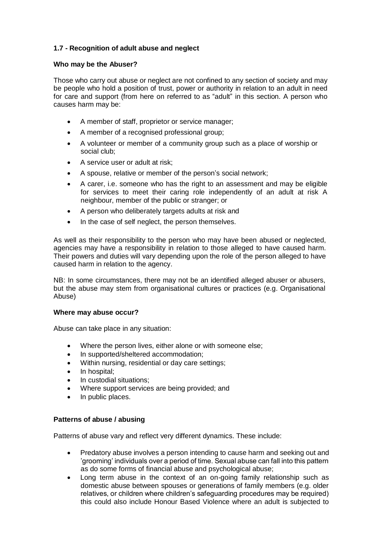## **1.7 - Recognition of adult abuse and neglect**

## **Who may be the Abuser?**

Those who carry out abuse or neglect are not confined to any section of society and may be people who hold a position of trust, power or authority in relation to an adult in need for care and support (from here on referred to as "adult" in this section. A person who causes harm may be:

- A member of staff, proprietor or service manager;
- A member of a recognised professional group;
- A volunteer or member of a community group such as a place of worship or social club;
- A service user or adult at risk;
- A spouse, relative or member of the person's social network;
- A carer, i.e. someone who has the right to an assessment and may be eligible for services to meet their caring role independently of an adult at risk A neighbour, member of the public or stranger; or
- A person who deliberately targets adults at risk and
- In the case of self neglect, the person themselves.

As well as their responsibility to the person who may have been abused or neglected, agencies may have a responsibility in relation to those alleged to have caused harm. Their powers and duties will vary depending upon the role of the person alleged to have caused harm in relation to the agency.

NB: In some circumstances, there may not be an identified alleged abuser or abusers, but the abuse may stem from organisational cultures or practices (e.g. Organisational Abuse)

## **Where may abuse occur?**

Abuse can take place in any situation:

- Where the person lives, either alone or with someone else;
- In supported/sheltered accommodation;
- Within nursing, residential or day care settings;
- In hospital;
- In custodial situations;
- Where support services are being provided; and
- In public places.

## **Patterns of abuse / abusing**

Patterns of abuse vary and reflect very different dynamics. These include:

- Predatory abuse involves a person intending to cause harm and seeking out and 'grooming' individuals over a period of time. Sexual abuse can fall into this pattern as do some forms of financial abuse and psychological abuse;
- Long term abuse in the context of an on-going family relationship such as domestic abuse between spouses or generations of family members (e.g. older relatives, or children where children's safeguarding procedures may be required) this could also include Honour Based Violence where an adult is subjected to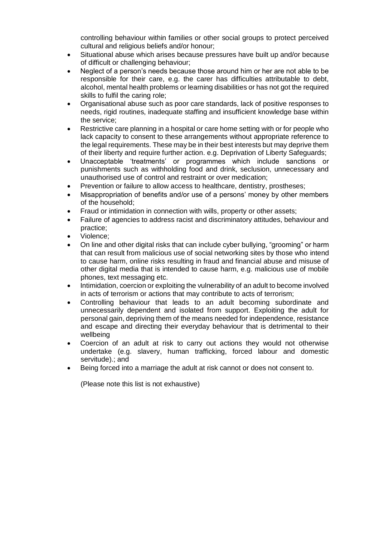controlling behaviour within families or other social groups to protect perceived cultural and religious beliefs and/or honour;

- Situational abuse which arises because pressures have built up and/or because of difficult or challenging behaviour;
- Neglect of a person's needs because those around him or her are not able to be responsible for their care, e.g. the carer has difficulties attributable to debt, alcohol, mental health problems or learning disabilities or has not got the required skills to fulfil the caring role;
- Organisational abuse such as poor care standards, lack of positive responses to needs, rigid routines, inadequate staffing and insufficient knowledge base within the service;
- Restrictive care planning in a hospital or care home setting with or for people who lack capacity to consent to these arrangements without appropriate reference to the legal requirements. These may be in their best interests but may deprive them of their liberty and require further action. e.g. Deprivation of Liberty Safeguards;
- Unacceptable 'treatments' or programmes which include sanctions or punishments such as withholding food and drink, seclusion, unnecessary and unauthorised use of control and restraint or over medication;
- Prevention or failure to allow access to healthcare, dentistry, prostheses;
- Misappropriation of benefits and/or use of a persons' money by other members of the household;
- Fraud or intimidation in connection with wills, property or other assets;
- Failure of agencies to address racist and discriminatory attitudes, behaviour and practice;
- Violence;
- On line and other digital risks that can include cyber bullying, "grooming" or harm that can result from malicious use of social networking sites by those who intend to cause harm, online risks resulting in fraud and financial abuse and misuse of other digital media that is intended to cause harm, e.g. malicious use of mobile phones, text messaging etc.
- Intimidation, coercion or exploiting the vulnerability of an adult to become involved in acts of terrorism or actions that may contribute to acts of terrorism;
- Controlling behaviour that leads to an adult becoming subordinate and unnecessarily dependent and isolated from support. Exploiting the adult for personal gain, depriving them of the means needed for independence, resistance and escape and directing their everyday behaviour that is detrimental to their wellbeing
- Coercion of an adult at risk to carry out actions they would not otherwise undertake (e.g. slavery, human trafficking, forced labour and domestic servitude).; and
- Being forced into a marriage the adult at risk cannot or does not consent to.

(Please note this list is not exhaustive)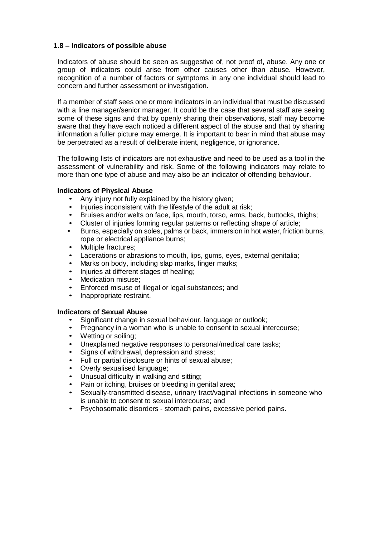## **1.8 – Indicators of possible abuse**

Indicators of abuse should be seen as suggestive of, not proof of, abuse. Any one or group of indicators could arise from other causes other than abuse. However, recognition of a number of factors or symptoms in any one individual should lead to concern and further assessment or investigation.

If a member of staff sees one or more indicators in an individual that must be discussed with a line manager/senior manager. It could be the case that several staff are seeing some of these signs and that by openly sharing their observations, staff may become aware that they have each noticed a different aspect of the abuse and that by sharing information a fuller picture may emerge. It is important to bear in mind that abuse may be perpetrated as a result of deliberate intent, negligence, or ignorance.

The following lists of indicators are not exhaustive and need to be used as a tool in the assessment of vulnerability and risk. Some of the following indicators may relate to more than one type of abuse and may also be an indicator of offending behaviour.

## **Indicators of Physical Abuse**

- Any injury not fully explained by the history given;
- Injuries inconsistent with the lifestyle of the adult at risk;
- Bruises and/or welts on face, lips, mouth, torso, arms, back, buttocks, thighs;
- Cluster of injuries forming regular patterns or reflecting shape of article;
- Burns, especially on soles, palms or back, immersion in hot water, friction burns, rope or electrical appliance burns;
- Multiple fractures;
- Lacerations or abrasions to mouth, lips, gums, eyes, external genitalia;
- Marks on body, including slap marks, finger marks;
- Injuries at different stages of healing;
- Medication misuse;
- Enforced misuse of illegal or legal substances; and
- Inappropriate restraint.

## **Indicators of Sexual Abuse**

- Significant change in sexual behaviour, language or outlook;
- Pregnancy in a woman who is unable to consent to sexual intercourse;
- Wetting or soiling;
- Unexplained negative responses to personal/medical care tasks;
- Signs of withdrawal, depression and stress;
- Full or partial disclosure or hints of sexual abuse;
- Overly sexualised language;
- Unusual difficulty in walking and sitting;
- Pain or itching, bruises or bleeding in genital area;
- Sexually-transmitted disease, urinary tract/vaginal infections in someone who is unable to consent to sexual intercourse; and
- Psychosomatic disorders stomach pains, excessive period pains.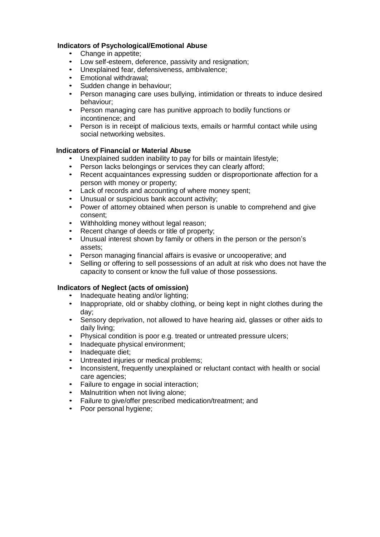## **Indicators of Psychological/Emotional Abuse**

- Change in appetite:
- Low self-esteem, deference, passivity and resignation;
- Unexplained fear, defensiveness, ambivalence;
- Emotional withdrawal;
- Sudden change in behaviour;
- Person managing care uses bullying, intimidation or threats to induce desired behaviour;
- Person managing care has punitive approach to bodily functions or incontinence; and
- Person is in receipt of malicious texts, emails or harmful contact while using social networking websites.

## **Indicators of Financial or Material Abuse**

- Unexplained sudden inability to pay for bills or maintain lifestyle;
- Person lacks belongings or services they can clearly afford;<br>• Recent acquaintances expressing sudden or disproportional
- Recent acquaintances expressing sudden or disproportionate affection for a person with money or property;
- Lack of records and accounting of where money spent;
- Unusual or suspicious bank account activity;
- Power of attorney obtained when person is unable to comprehend and give consent;
- Withholding money without legal reason;
- Recent change of deeds or title of property;
- Unusual interest shown by family or others in the person or the person's assets;
- Person managing financial affairs is evasive or uncooperative; and
- Selling or offering to sell possessions of an adult at risk who does not have the capacity to consent or know the full value of those possessions.

## **Indicators of Neglect (acts of omission)**

- Inadequate heating and/or lighting;<br>• Inappropriate old or shabby clothing
- Inappropriate, old or shabby clothing, or being kept in night clothes during the day;
- Sensory deprivation, not allowed to have hearing aid, glasses or other aids to daily living;
- Physical condition is poor e.g. treated or untreated pressure ulcers;
- Inadequate physical environment;
- Inadequate diet;
- Untreated injuries or medical problems;
- Inconsistent, frequently unexplained or reluctant contact with health or social care agencies;
- Failure to engage in social interaction;
- Malnutrition when not living alone;
- Failure to give/offer prescribed medication/treatment; and<br>• Poor personal hydiene:
- Poor personal hygiene;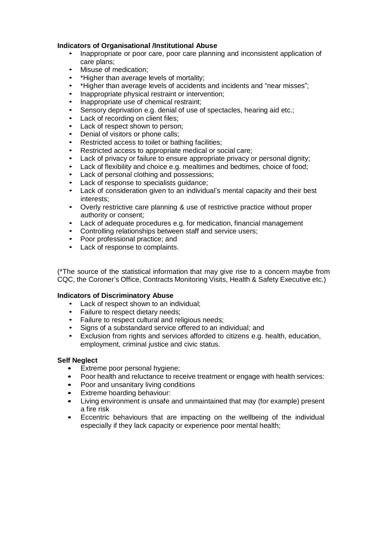## **Indicators of Organisational /Institutional Abuse**

- Inappropriate or poor care, poor care planning and inconsistent application of care plans;
- Misuse of medication:
- \*Higher than average levels of mortality;
- \*Higher than average levels of accidents and incidents and "near misses";
- Inappropriate physical restraint or intervention;
- Inappropriate use of chemical restraint;
- Sensory deprivation e.g. denial of use of spectacles, hearing aid etc.:
- Lack of recording on client files:
- Lack of respect shown to person:
- Denial of visitors or phone calls;
- Restricted access to toilet or bathing facilities;
- Restricted access to appropriate medical or social care;
- Lack of privacy or failure to ensure appropriate privacy or personal dignity;
- Lack of flexibility and choice e.g. mealtimes and bedtimes, choice of food;
- Lack of personal clothing and possessions;
- Lack of response to specialists quidance;
- Lack of consideration given to an individual's mental capacity and their best interests;
- Overly restrictive care planning & use of restrictive practice without proper authority or consent;
- Lack of adequate procedures e.g. for medication, financial management
- Controlling relationships between staff and service users;
- Poor professional practice; and
- Lack of response to complaints.

(\*The source of the statistical information that may give rise to a concern maybe from CQC, the Coroner's Office, Contracts Monitoring Visits, Health & Safety Executive etc.)

## **Indicators of Discriminatory Abuse**

- Lack of respect shown to an individual;
- Failure to respect dietary needs;
- Failure to respect cultural and religious needs;
- Signs of a substandard service offered to an individual; and
- Exclusion from rights and services afforded to citizens e.g. health, education, employment, criminal justice and civic status.

## **Self Neglect**

- Extreme poor personal hygiene;
- Poor health and reluctance to receive treatment or engage with health services:
- Poor and unsanitary living conditions
- **Extreme hoarding behaviour:**
- Living environment is unsafe and unmaintained that may (for example) present a fire risk
- Eccentric behaviours that are impacting on the wellbeing of the individual especially if they lack capacity or experience poor mental health;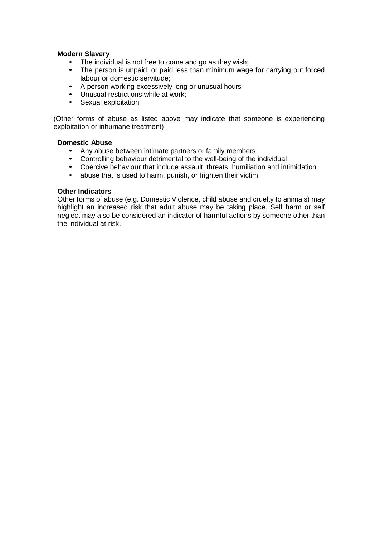## **Modern Slavery**

- The individual is not free to come and go as they wish;
- The person is unpaid, or paid less than minimum wage for carrying out forced labour or domestic servitude;
- A person working excessively long or unusual hours
- Unusual restrictions while at work;
- Sexual exploitation

(Other forms of abuse as listed above may indicate that someone is experiencing exploitation or inhumane treatment)

## **Domestic Abuse**

- Any abuse between intimate partners or family members
- Controlling behaviour detrimental to the well-being of the individual
- Coercive behaviour that include assault, threats, humiliation and intimidation<br>• abuse that is used to harm punish or frighten their victim
- abuse that is used to harm, punish, or frighten their victim

## **Other Indicators**

Other forms of abuse (e.g. Domestic Violence, child abuse and cruelty to animals) may highlight an increased risk that adult abuse may be taking place. Self harm or self neglect may also be considered an indicator of harmful actions by someone other than the individual at risk.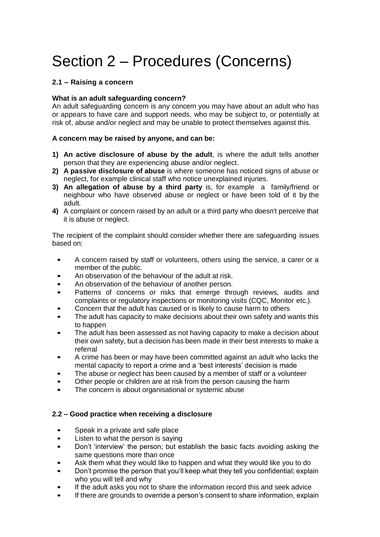# Section 2 – Procedures (Concerns)

## **2.1 – Raising a concern**

## **What is an adult safeguarding concern?**

An adult safeguarding concern is any concern you may have about an adult who has or appears to have care and support needs, who may be subject to, or potentially at risk of, abuse and/or neglect and may be unable to protect themselves against this.

## **A concern may be raised by anyone, and can be:**

- **1) An active disclosure of abuse by the adult**, is where the adult tells another person that they are experiencing abuse and/or neglect.
- **2) A passive disclosure of abuse** is where someone has noticed signs of abuse or neglect, for example clinical staff who notice unexplained injuries.
- **3) An allegation of abuse by a third party** is, for example a family/friend or neighbour who have observed abuse or neglect or have been told of it by the adult.
- **4)** A complaint or concern raised by an adult or a third party who doesn't perceive that it is abuse or neglect.

The recipient of the complaint should consider whether there are safeguarding issues based on:

- A concern raised by staff or volunteers, others using the service, a carer or a member of the public.
- An observation of the behaviour of the adult at risk.
- An observation of the behaviour of another person.
- Patterns of concerns or risks that emerge through reviews, audits and complaints or regulatory inspections or monitoring visits (CQC, Monitor etc.).
- Concern that the adult has caused or is likely to cause harm to others
- The adult has capacity to make decisions about their own safety and wants this to happen
- The adult has been assessed as not having capacity to make a decision about their own safety, but a decision has been made in their best interests to make a referral
- A crime has been or may have been committed against an adult who lacks the mental capacity to report a crime and a 'best interests' decision is made
- The abuse or neglect has been caused by a member of staff or a volunteer
- Other people or children are at risk from the person causing the harm
- The concern is about organisational or systemic abuse

## **2.2 – Good practice when receiving a disclosure**

- Speak in a private and safe place
- Listen to what the person is saying
- Don't 'interview' the person; but establish the basic facts avoiding asking the same questions more than once
- Ask them what they would like to happen and what they would like you to do
- Don't promise the person that you'll keep what they tell you confidential; explain who you will tell and why
- If the adult asks you not to share the information record this and seek advice
- If there are grounds to override a person's consent to share information, explain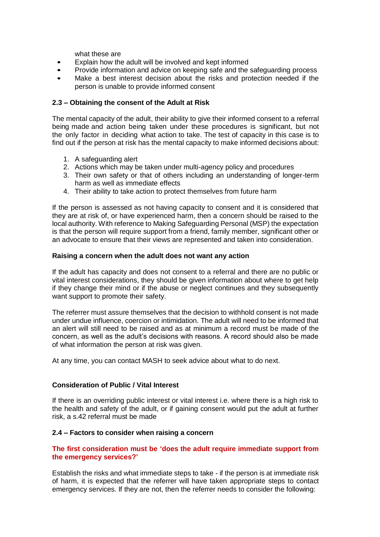what these are

- Explain how the adult will be involved and kept informed
- Provide information and advice on keeping safe and the safeguarding process
- Make a best interest decision about the risks and protection needed if the person is unable to provide informed consent

## **2.3 – Obtaining the consent of the Adult at Risk**

The mental capacity of the adult, their ability to give their informed consent to a referral being made and action being taken under these procedures is significant, but not the only factor in deciding what action to take. The test of capacity in this case is to find out if the person at risk has the mental capacity to make informed decisions about:

- 1. A safeguarding alert
- 2. Actions which may be taken under multi-agency policy and procedures
- 3. Their own safety or that of others including an understanding of longer-term harm as well as immediate effects
- 4. Their ability to take action to protect themselves from future harm

If the person is assessed as not having capacity to consent and it is considered that they are at risk of, or have experienced harm, then a concern should be raised to the local authority. With reference to Making Safeguarding Personal (MSP) the expectation is that the person will require support from a friend, family member, significant other or an advocate to ensure that their views are represented and taken into consideration.

## **Raising a concern when the adult does not want any action**

If the adult has capacity and does not consent to a referral and there are no public or vital interest considerations, they should be given information about where to get help if they change their mind or if the abuse or neglect continues and they subsequently want support to promote their safety.

The referrer must assure themselves that the decision to withhold consent is not made under undue influence, coercion or intimidation. The adult will need to be informed that an alert will still need to be raised and as at minimum a record must be made of the concern, as well as the adult's decisions with reasons. A record should also be made of what information the person at risk was given.

At any time, you can contact MASH to seek advice about what to do next.

## **Consideration of Public / Vital Interest**

If there is an overriding public interest or vital interest i.e. where there is a high risk to the health and safety of the adult, or if gaining consent would put the adult at further risk, a s.42 referral must be made

## **2.4 – Factors to consider when raising a concern**

## **The first consideration must be 'does the adult require immediate support from the emergency services?'**

Establish the risks and what immediate steps to take - if the person is at immediate risk of harm, it is expected that the referrer will have taken appropriate steps to contact emergency services. If they are not, then the referrer needs to consider the following: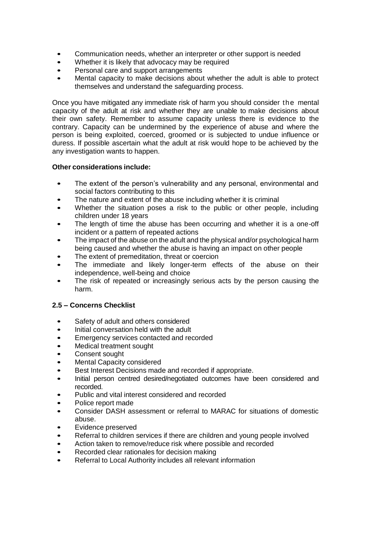- Communication needs, whether an interpreter or other support is needed
- Whether it is likely that advocacy may be required
- Personal care and support arrangements
- Mental capacity to make decisions about whether the adult is able to protect themselves and understand the safeguarding process.

Once you have mitigated any immediate risk of harm you should consider the mental capacity of the adult at risk and whether they are unable to make decisions about their own safety. Remember to assume capacity unless there is evidence to the contrary. Capacity can be undermined by the experience of abuse and where the person is being exploited, coerced, groomed or is subjected to undue influence or duress. If possible ascertain what the adult at risk would hope to be achieved by the any investigation wants to happen.

## **Other considerations include:**

- The extent of the person's vulnerability and any personal, environmental and social factors contributing to this
- The nature and extent of the abuse including whether it is criminal
- Whether the situation poses a risk to the public or other people, including children under 18 years
- The length of time the abuse has been occurring and whether it is a one-off incident or a pattern of repeated actions
- The impact of the abuse on the adult and the physical and/or psychological harm being caused and whether the abuse is having an impact on other people
- The extent of premeditation, threat or coercion
- The immediate and likely longer-term effects of the abuse on their independence, well-being and choice
- The risk of repeated or increasingly serious acts by the person causing the harm.

## **2.5 – Concerns Checklist**

- Safety of adult and others considered
- Initial conversation held with the adult
- Emergency services contacted and recorded
- Medical treatment sought
- Consent sought
- Mental Capacity considered
- Best Interest Decisions made and recorded if appropriate.
- Initial person centred desired/negotiated outcomes have been considered and recorded.
- Public and vital interest considered and recorded
- Police report made
- Consider DASH assessment or referral to MARAC for situations of domestic abuse.
- Evidence preserved
- Referral to children services if there are children and young people involved
- Action taken to remove/reduce risk where possible and recorded
- Recorded clear rationales for decision making
- Referral to Local Authority includes all relevant information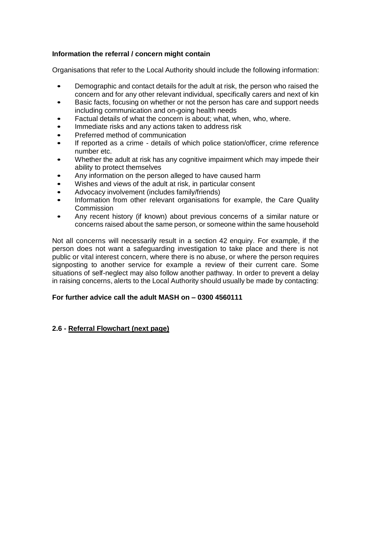## **Information the referral / concern might contain**

Organisations that refer to the Local Authority should include the following information:

- Demographic and contact details for the adult at risk, the person who raised the concern and for any other relevant individual, specifically carers and next of kin
- Basic facts, focusing on whether or not the person has care and support needs including communication and on-going health needs
- Factual details of what the concern is about; what, when, who, where.
- Immediate risks and any actions taken to address risk
- Preferred method of communication
- If reported as a crime details of which police station/officer, crime reference number etc.
- Whether the adult at risk has any cognitive impairment which may impede their ability to protect themselves
- Any information on the person alleged to have caused harm
- Wishes and views of the adult at risk, in particular consent
- Advocacy involvement (includes family/friends)
- Information from other relevant organisations for example, the Care Quality Commission
- Any recent history (if known) about previous concerns of a similar nature or concerns raised about the same person, or someone within the same household

Not all concerns will necessarily result in a section 42 enquiry. For example, if the person does not want a safeguarding investigation to take place and there is not public or vital interest concern, where there is no abuse, or where the person requires signposting to another service for example a review of their current care. Some situations of self-neglect may also follow another pathway. In order to prevent a delay in raising concerns, alerts to the Local Authority should usually be made by contacting:

## **For further advice call the adult MASH on – 0300 4560111**

## **2.6 - Referral Flowchart (next page)**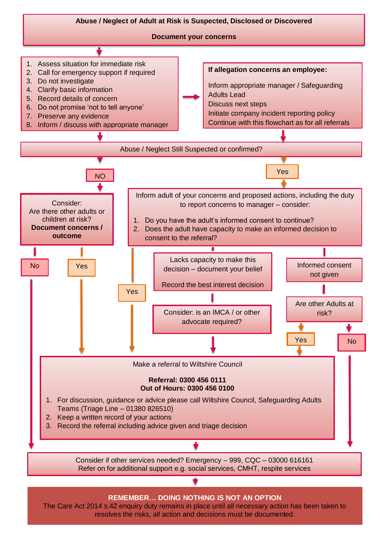

resolves the risks, all action and decisions must be documented.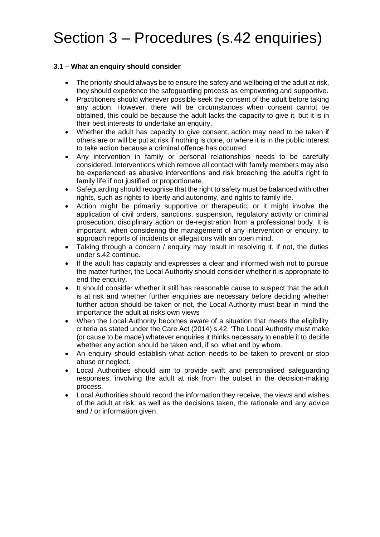# Section 3 – Procedures (s.42 enquiries)

## **3.1 – What an enquiry should consider**

- The priority should always be to ensure the safety and wellbeing of the adult at risk, they should experience the safeguarding process as empowering and supportive.
- Practitioners should wherever possible seek the consent of the adult before taking any action. However, there will be circumstances when consent cannot be obtained, this could be because the adult lacks the capacity to give it, but it is in their best interests to undertake an enquiry.
- Whether the adult has capacity to give consent, action may need to be taken if others are or will be put at risk if nothing is done, or where it is in the public interest to take action because a criminal offence has occurred.
- Any intervention in family or personal relationships needs to be carefully considered. Interventions which remove all contact with family members may also be experienced as abusive interventions and risk breaching the adult's right to family life if not justified or proportionate.
- Safeguarding should recognise that the right to safety must be balanced with other rights, such as rights to liberty and autonomy, and rights to family life.
- Action might be primarily supportive or therapeutic, or it might involve the application of civil orders, sanctions, suspension, regulatory activity or criminal prosecution, disciplinary action or de-registration from a professional body. It is important, when considering the management of any intervention or enquiry, to approach reports of incidents or allegations with an open mind.
- Talking through a concern / enguiry may result in resolving it, if not, the duties under s.42 continue.
- If the adult has capacity and expresses a clear and informed wish not to pursue the matter further, the Local Authority should consider whether it is appropriate to end the enquiry.
- It should consider whether it still has reasonable cause to suspect that the adult is at risk and whether further enquiries are necessary before deciding whether further action should be taken or not, the Local Authority must bear in mind the importance the adult at risks own views
- When the Local Authority becomes aware of a situation that meets the eligibility criteria as stated under the Care Act (2014) s.42, 'The Local Authority must make (or cause to be made) whatever enquiries it thinks necessary to enable it to decide whether any action should be taken and, if so, what and by whom.
- An enquiry should establish what action needs to be taken to prevent or stop abuse or neglect.
- Local Authorities should aim to provide swift and personalised safeguarding responses, involving the adult at risk from the outset in the decision-making process.
- Local Authorities should record the information they receive, the views and wishes of the adult at risk, as well as the decisions taken, the rationale and any advice and / or information given.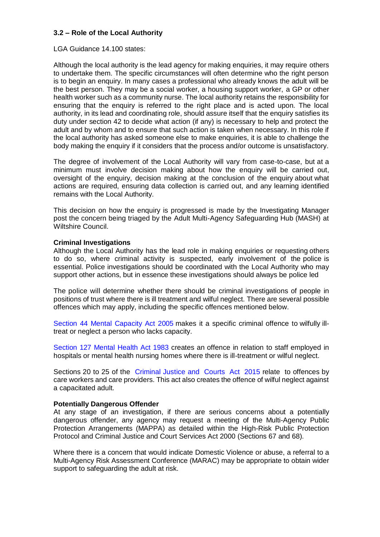## **3.2 – Role of the Local Authority**

## LGA Guidance 14.100 states:

Although the local authority is the lead agency for making enquiries, it may require others to undertake them. The specific circumstances will often determine who the right person is to begin an enquiry. In many cases a professional who already knows the adult will be the best person. They may be a social worker, a housing support worker, a GP or other health worker such as a community nurse. The local authority retains the responsibility for ensuring that the enquiry is referred to the right place and is acted upon. The local authority, in its lead and coordinating role, should assure itself that the enquiry satisfies its duty under section 42 to decide what action (if any) is necessary to help and protect the adult and by whom and to ensure that such action is taken when necessary. In this role if the local authority has asked someone else to make enquiries, it is able to challenge the body making the enquiry if it considers that the process and/or outcome is unsatisfactory.

The degree of involvement of the Local Authority will vary from case-to-case, but at a minimum must involve decision making about how the enquiry will be carried out, oversight of the enquiry, decision making at the conclusion of the enquiry about what actions are required, ensuring data collection is carried out, and any learning identified remains with the Local Authority.

This decision on how the enquiry is progressed is made by the Investigating Manager post the concern being triaged by the Adult Multi-Agency Safeguarding Hub (MASH) at Wiltshire Council.

## **Criminal Investigations**

Although the Local Authority has the lead role in making enquiries or requesting others to do so, where criminal activity is suspected, early involvement of the police is essential. Police investigations should be coordinated with the Local Authority who may support other actions, but in essence these investigations should always be police led

The police will determine whether there should be criminal investigations of people in positions of trust where there is ill treatment and wilful neglect. There are several possible offences which may apply, including the specific offences mentioned below.

Section 44 Mental [Capacity](http://www.legislation.gov.uk/ukpga/2005/9/section/44) Act 2005 makes it a specific criminal offence to wilfully illtreat or neglect a person who lacks capacity.

Section 127 Mental Health [Act 1983](http://www.legislation.gov.uk/ukpga/1983/20/section/127) creates an offence in relation to staff employed in hospitals or mental health nursing homes where there is ill-treatment or wilful neglect.

Sections 20 to 25 of the Criminal Justice [and Courts Act 2015](http://www.legislation.gov.uk/ukpga/2015/2) relate to offences by care workers and care providers. This act also creates the offence of wilful neglect against a capacitated adult.

## **Potentially Dangerous Offender**

At any stage of an investigation, if there are serious concerns about a potentially dangerous offender, any agency may request a meeting of the Multi-Agency Public Protection Arrangements (MAPPA) as detailed within the High-Risk Public Protection Protocol and Criminal Justice and Court Services Act 2000 (Sections 67 and 68).

Where there is a concern that would indicate Domestic Violence or abuse, a referral to a Multi-Agency Risk Assessment Conference (MARAC) may be appropriate to obtain wider support to safeguarding the adult at risk.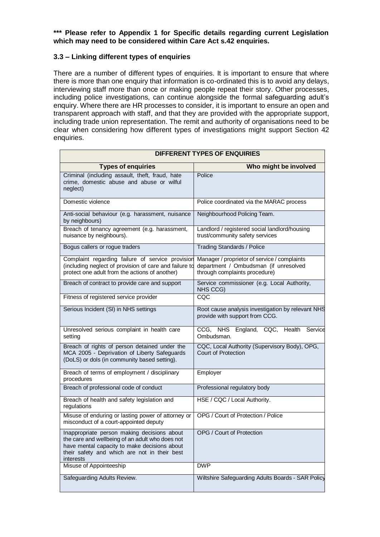**\*\*\* Please refer to Appendix 1 for Specific details regarding current Legislation which may need to be considered within Care Act s.42 enquiries.**

## **3.3 – Linking different types of enquiries**

 $\overline{\phantom{0}}$ 

There are a number of different types of enquiries. It is important to ensure that where there is more than one enquiry that information is co-ordinated this is to avoid any delays, interviewing staff more than once or making people repeat their story. Other processes, including police investigations, can continue alongside the formal safeguarding adult's enquiry. Where there are HR processes to consider, it is important to ensure an open and transparent approach with staff, and that they are provided with the appropriate support, including trade union representation. The remit and authority of organisations need to be clear when considering how different types of investigations might support Section 42 enquiries.

**DIFFERENT TYPES OF ENQUIRIES**

 $\blacksquare$ 

| DIFFERENT I TPES OF ENQUIRIES                                                                                                                                                                               |                                                                                                                        |  |
|-------------------------------------------------------------------------------------------------------------------------------------------------------------------------------------------------------------|------------------------------------------------------------------------------------------------------------------------|--|
| <b>Types of enquiries</b>                                                                                                                                                                                   | Who might be involved                                                                                                  |  |
| Criminal (including assault, theft, fraud, hate<br>crime, domestic abuse and abuse or wilful<br>neglect)                                                                                                    | Police                                                                                                                 |  |
| Domestic violence                                                                                                                                                                                           | Police coordinated via the MARAC process                                                                               |  |
| Anti-social behaviour (e.g. harassment, nuisance<br>by neighbours)                                                                                                                                          | Neighbourhood Policing Team.                                                                                           |  |
| Breach of tenancy agreement (e.g. harassment,<br>nuisance by neighbours).                                                                                                                                   | Landlord / registered social landlord/housing<br>trust/community safety services                                       |  |
| Bogus callers or rogue traders                                                                                                                                                                              | <b>Trading Standards / Police</b>                                                                                      |  |
| Complaint regarding failure of service provision<br>(including neglect of provision of care and failure to<br>protect one adult from the actions of another)                                                | Manager / proprietor of service / complaints<br>department / Ombudsman (if unresolved<br>through complaints procedure) |  |
| Breach of contract to provide care and support                                                                                                                                                              | Service commissioner (e.g. Local Authority,<br>NHS CCG)                                                                |  |
| Fitness of registered service provider                                                                                                                                                                      | CQC                                                                                                                    |  |
| Serious Incident (SI) in NHS settings                                                                                                                                                                       | Root cause analysis investigation by relevant NHS<br>provide with support from CCG.                                    |  |
| Unresolved serious complaint in health care<br>setting                                                                                                                                                      | CCG, NHS England, CQC, Health<br>Service<br>Ombudsman.                                                                 |  |
| Breach of rights of person detained under the<br>MCA 2005 - Deprivation of Liberty Safeguards<br>(DoLS) or dols (in community based setting).                                                               | CQC, Local Authority (Supervisory Body), OPG,<br><b>Court of Protection</b>                                            |  |
| Breach of terms of employment / disciplinary<br>procedures                                                                                                                                                  | Employer                                                                                                               |  |
| Breach of professional code of conduct                                                                                                                                                                      | Professional regulatory body                                                                                           |  |
| Breach of health and safety legislation and<br>regulations                                                                                                                                                  | HSE / CQC / Local Authority.                                                                                           |  |
| Misuse of enduring or lasting power of attorney or<br>misconduct of a court-appointed deputy                                                                                                                | OPG / Court of Protection / Police                                                                                     |  |
| Inappropriate person making decisions about<br>the care and wellbeing of an adult who does not<br>have mental capacity to make decisions about<br>their safety and which are not in their best<br>interests | OPG / Court of Protection                                                                                              |  |
| Misuse of Appointeeship                                                                                                                                                                                     | <b>DWP</b>                                                                                                             |  |
| Safeguarding Adults Review.                                                                                                                                                                                 | Wiltshire Safeguarding Adults Boards - SAR Policy                                                                      |  |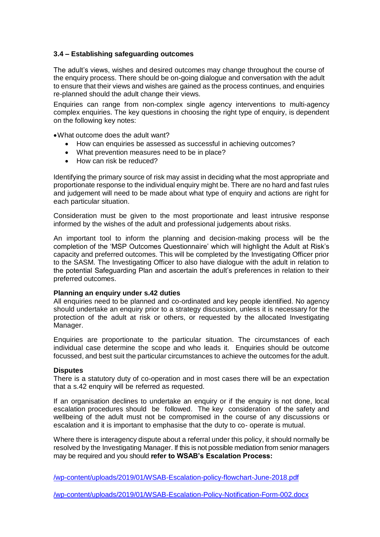## **3.4 – Establishing safeguarding outcomes**

The adult's views, wishes and desired outcomes may change throughout the course of the enquiry process. There should be on-going dialogue and conversation with the adult to ensure that their views and wishes are gained as the process continues, and enquiries re-planned should the adult change their views.

Enquiries can range from non-complex single agency interventions to multi-agency complex enquiries. The key questions in choosing the right type of enquiry, is dependent on the following key notes:

•What outcome does the adult want?

- How can enquiries be assessed as successful in achieving outcomes?
- What prevention measures need to be in place?
- How can risk be reduced?

Identifying the primary source of risk may assist in deciding what the most appropriate and proportionate response to the individual enquiry might be. There are no hard and fast rules and judgement will need to be made about what type of enquiry and actions are right for each particular situation.

Consideration must be given to the most proportionate and least intrusive response informed by the wishes of the adult and professional judgements about risks.

An important tool to inform the planning and decision-making process will be the completion of the 'MSP Outcomes Questionnaire' which will highlight the Adult at Risk's capacity and preferred outcomes. This will be completed by the Investigating Officer prior to the SASM. The Investigating Officer to also have dialogue with the adult in relation to the potential Safeguarding Plan and ascertain the adult's preferences in relation to their preferred outcomes.

## **Planning an enquiry under s.42 duties**

All enquiries need to be planned and co-ordinated and key people identified. No agency should undertake an enquiry prior to a strategy discussion, unless it is necessary for the protection of the adult at risk or others, or requested by the allocated Investigating Manager.

Enquiries are proportionate to the particular situation. The circumstances of each individual case determine the scope and who leads it. Enquiries should be outcome focussed, and best suit the particular circumstances to achieve the outcomes for the adult.

## **Disputes**

There is a statutory duty of co-operation and in most cases there will be an expectation that a s.42 enquiry will be referred as requested.

If an organisation declines to undertake an enquiry or if the enquiry is not done, local escalation procedures should be followed. The key consideration of the safety and wellbeing of the adult must not be compromised in the course of any discussions or escalation and it is important to emphasise that the duty to co- operate is mutual.

Where there is interagency dispute about a referral under this policy, it should normally be resolved by the Investigating Manager. If this is not possible mediation from senior managers may be required and you should **refer to WSAB's Escalation Process:**

[/wp-content/uploads/2019/01/WSAB-Escalation-policy-flowchart-June-2018.pdf](http://www.wiltshiresab.org.uk/wp-content/uploads/2019/01/WSAB-Escalation-policy-flowchart-June-2018.pdf)

[/wp-content/uploads/2019/01/WSAB-Escalation-Policy-Notification-Form-002.docx](http://www.wiltshiresab.org.uk/wp-content/uploads/2019/01/WSAB-Escalation-Policy-Notification-Form-002.docx)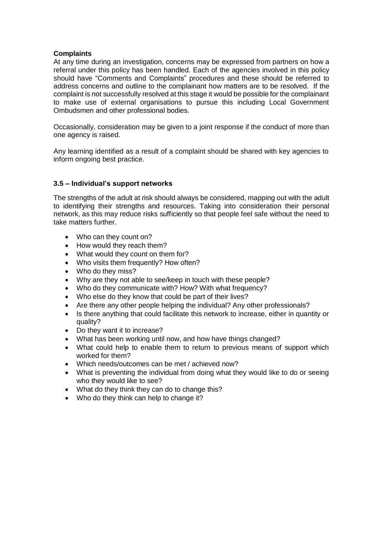## **Complaints**

At any time during an investigation, concerns may be expressed from partners on how a referral under this policy has been handled. Each of the agencies involved in this policy should have "Comments and Complaints" procedures and these should be referred to address concerns and outline to the complainant how matters are to be resolved. If the complaint is not successfully resolved at this stage it would be possible for the complainant to make use of external organisations to pursue this including Local Government Ombudsmen and other professional bodies.

Occasionally, consideration may be given to a joint response if the conduct of more than one agency is raised.

Any learning identified as a result of a complaint should be shared with key agencies to inform ongoing best practice.

## **3.5 – Individual's support networks**

The strengths of the adult at risk should always be considered, mapping out with the adult to identifying their strengths and resources. Taking into consideration their personal network, as this may reduce risks sufficiently so that people feel safe without the need to take matters further.

- Who can they count on?
- How would they reach them?
- What would they count on them for?
- Who visits them frequently? How often?
- Who do they miss?
- Why are they not able to see/keep in touch with these people?
- Who do they communicate with? How? With what frequency?
- Who else do they know that could be part of their lives?
- Are there any other people helping the individual? Any other professionals?
- Is there anything that could facilitate this network to increase, either in quantity or quality?
- Do they want it to increase?
- What has been working until now, and how have things changed?
- What could help to enable them to return to previous means of support which worked for them?
- Which needs/outcomes can be met / achieved now?
- What is preventing the individual from doing what they would like to do or seeing who they would like to see?
- What do they think they can do to change this?
- Who do they think can help to change it?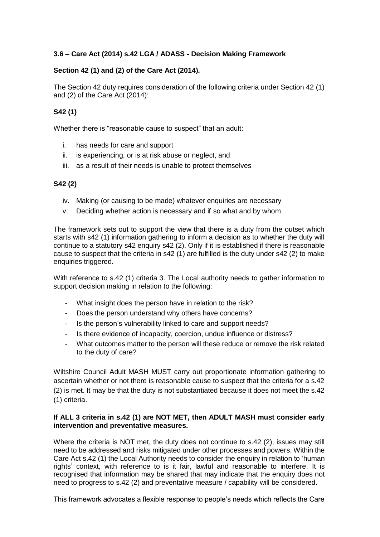## **3.6 – Care Act (2014) s.42 LGA / ADASS - Decision Making Framework**

## **Section 42 (1) and (2) of the Care Act (2014).**

The Section 42 duty requires consideration of the following criteria under Section 42 (1) and (2) of the Care Act (2014):

## **S42 (1)**

Whether there is "reasonable cause to suspect" that an adult:

- i. has needs for care and support
- ii. is experiencing, or is at risk abuse or neglect, and
- iii. as a result of their needs is unable to protect themselves

## **S42 (2)**

- iv. Making (or causing to be made) whatever enquiries are necessary
- v. Deciding whether action is necessary and if so what and by whom.

The framework sets out to support the view that there is a duty from the outset which starts with s42 (1) information gathering to inform a decision as to whether the duty will continue to a statutory s42 enquiry s42 (2). Only if it is established if there is reasonable cause to suspect that the criteria in s42 (1) are fulfilled is the duty under s42 (2) to make enquiries triggered.

With reference to s.42 (1) criteria 3. The Local authority needs to gather information to support decision making in relation to the following:

- What insight does the person have in relation to the risk?
- Does the person understand why others have concerns?
- Is the person's vulnerability linked to care and support needs?
- Is there evidence of incapacity, coercion, undue influence or distress?
- What outcomes matter to the person will these reduce or remove the risk related to the duty of care?

Wiltshire Council Adult MASH MUST carry out proportionate information gathering to ascertain whether or not there is reasonable cause to suspect that the criteria for a s.42 (2) is met. It may be that the duty is not substantiated because it does not meet the s.42 (1) criteria.

## **If ALL 3 criteria in s.42 (1) are NOT MET, then ADULT MASH must consider early intervention and preventative measures.**

Where the criteria is NOT met, the duty does not continue to s.42 (2), issues may still need to be addressed and risks mitigated under other processes and powers. Within the Care Act s.42 (1) the Local Authority needs to consider the enquiry in relation to 'human rights' context, with reference to is it fair, lawful and reasonable to interfere. It is recognised that information may be shared that may indicate that the enquiry does not need to progress to s.42 (2) and preventative measure / capability will be considered.

This framework advocates a flexible response to people's needs which reflects the Care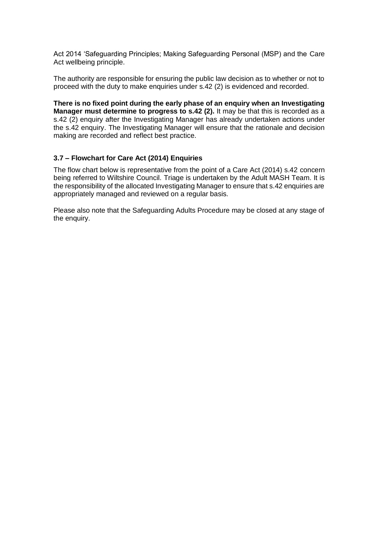Act 2014 'Safeguarding Principles; Making Safeguarding Personal (MSP) and the Care Act wellbeing principle.

The authority are responsible for ensuring the public law decision as to whether or not to proceed with the duty to make enquiries under s.42 (2) is evidenced and recorded.

**There is no fixed point during the early phase of an enquiry when an Investigating Manager must determine to progress to s.42 (2).** It may be that this is recorded as a s.42 (2) enquiry after the Investigating Manager has already undertaken actions under the s.42 enquiry. The Investigating Manager will ensure that the rationale and decision making are recorded and reflect best practice.

## **3.7 – Flowchart for Care Act (2014) Enquiries**

The flow chart below is representative from the point of a Care Act (2014) s.42 concern being referred to Wiltshire Council. Triage is undertaken by the Adult MASH Team. It is the responsibility of the allocated Investigating Manager to ensure that s.42 enquiries are appropriately managed and reviewed on a regular basis.

Please also note that the Safeguarding Adults Procedure may be closed at any stage of the enquiry.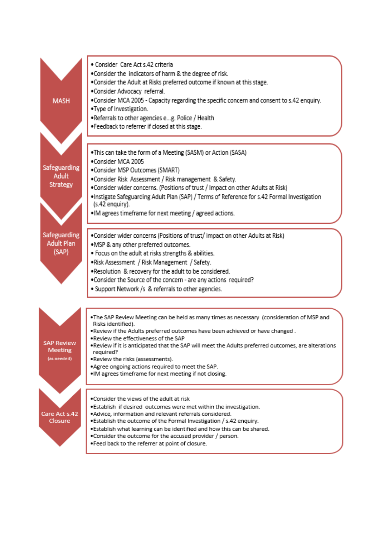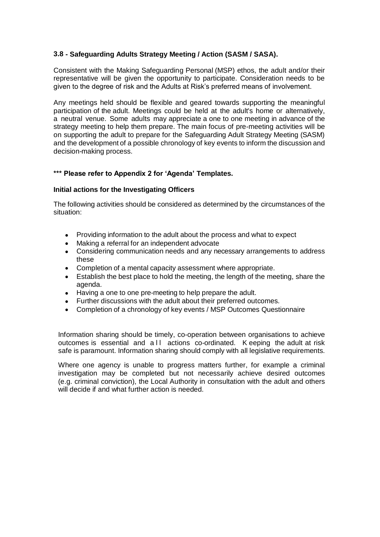## **3.8 - Safeguarding Adults Strategy Meeting / Action (SASM / SASA).**

Consistent with the Making Safeguarding Personal (MSP) ethos, the adult and/or their representative will be given the opportunity to participate. Consideration needs to be given to the degree of risk and the Adults at Risk's preferred means of involvement.

Any meetings held should be flexible and geared towards supporting the meaningful participation of the adult. Meetings could be held at the adult's home or alternatively, a neutral venue. Some adults may appreciate a one to one meeting in advance of the strategy meeting to help them prepare. The main focus of pre-meeting activities will be on supporting the adult to prepare for the Safeguarding Adult Strategy Meeting (SASM) and the development of a possible chronology of key events to inform the discussion and decision-making process.

## **\*\*\* Please refer to Appendix 2 for 'Agenda' Templates.**

## **Initial actions for the Investigating Officers**

The following activities should be considered as determined by the circumstances of the situation:

- Providing information to the adult about the process and what to expect
- Making a referral for an independent advocate
- Considering communication needs and any necessary arrangements to address these
- Completion of a mental capacity assessment where appropriate.
- Establish the best place to hold the meeting, the length of the meeting, share the agenda.
- Having a one to one pre-meeting to help prepare the adult.
- Further discussions with the adult about their preferred outcomes.
- Completion of a chronology of key events / MSP Outcomes Questionnaire

Information sharing should be timely, co-operation between organisations to achieve outcomes is essential and a II actions co-ordinated. K eeping the adult at risk safe is paramount. Information sharing should comply with all legislative requirements.

Where one agency is unable to progress matters further, for example a criminal investigation may be completed but not necessarily achieve desired outcomes (e.g. criminal conviction), the Local Authority in consultation with the adult and others will decide if and what further action is needed.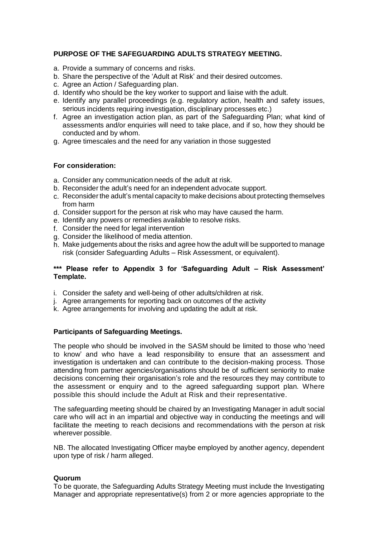## **PURPOSE OF THE SAFEGUARDING ADULTS STRATEGY MEETING.**

- a. Provide a summary of concerns and risks.
- b. Share the perspective of the 'Adult at Risk' and their desired outcomes.
- c. Agree an Action / Safeguarding plan.
- d. Identify who should be the key worker to support and liaise with the adult.
- e. Identify any parallel proceedings (e.g. regulatory action, health and safety issues, serious incidents requiring investigation, disciplinary processes etc.)
- f. Agree an investigation action plan, as part of the Safeguarding Plan; what kind of assessments and/or enquiries will need to take place, and if so, how they should be conducted and by whom.
- g. Agree timescales and the need for any variation in those suggested

## **For consideration:**

- a. Consider any communication needs of the adult at risk.
- b. Reconsider the adult's need for an independent advocate support.
- c. Reconsider the adult's mental capacity to make decisions about protecting themselves from harm
- d. Consider support for the person at risk who may have caused the harm.
- e. Identify any powers or remedies available to resolve risks.
- f. Consider the need for legal intervention
- g. Consider the likelihood of media attention.
- h. Make judgements about the risks and agree how the adult will be supported to manage risk (consider Safeguarding Adults – Risk Assessment, or equivalent).

## **\*\*\* Please refer to Appendix 3 for 'Safeguarding Adult – Risk Assessment' Template.**

- i. Consider the safety and well-being of other adults/children at risk.
- j. Agree arrangements for reporting back on outcomes of the activity
- k. Agree arrangements for involving and updating the adult at risk.

## **Participants of Safeguarding Meetings.**

The people who should be involved in the SASM should be limited to those who 'need to know' and who have a lead responsibility to ensure that an assessment and investigation is undertaken and can contribute to the decision-making process. Those attending from partner agencies/organisations should be of sufficient seniority to make decisions concerning their organisation's role and the resources they may contribute to the assessment or enquiry and to the agreed safeguarding support plan. Where possible this should include the Adult at Risk and their representative.

The safeguarding meeting should be chaired by an Investigating Manager in adult social care who will act in an impartial and objective way in conducting the meetings and will facilitate the meeting to reach decisions and recommendations with the person at risk wherever possible.

NB. The allocated Investigating Officer maybe employed by another agency, dependent upon type of risk / harm alleged.

## **Quorum**

To be quorate, the Safeguarding Adults Strategy Meeting must include the Investigating Manager and appropriate representative(s) from 2 or more agencies appropriate to the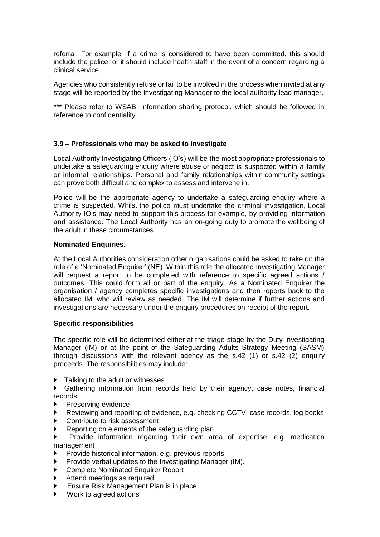referral. For example, if a crime is considered to have been committed, this should include the police, or it should include health staff in the event of a concern regarding a clinical service.

Agencies who consistently refuse or fail to be involved in the process when invited at any stage will be reported by the Investigating Manager to the local authority lead manager.

\*\*\* Please refer to WSAB: Information sharing protocol, which should be followed in reference to confidentiality.

## **3.9 – Professionals who may be asked to investigate**

Local Authority Investigating Officers (IO's) will be the most appropriate professionals to undertake a safeguarding enquiry where abuse or neglect is suspected within a family or informal relationships. Personal and family relationships within community settings can prove both difficult and complex to assess and intervene in.

Police will be the appropriate agency to undertake a safeguarding enquiry where a crime is suspected. Whilst the police must undertake the criminal investigation, Local Authority IO's may need to support this process for example, by providing information and assistance. The Local Authority has an on-going duty to promote the wellbeing of the adult in these circumstances.

## **Nominated Enquiries.**

At the Local Authorities consideration other organisations could be asked to take on the role of a 'Nominated Enquirer' (NE). Within this role the allocated Investigating Manager will request a report to be completed with reference to specific agreed actions / outcomes. This could form all or part of the enquiry. As a Nominated Enquirer the organisation / agency completes specific investigations and then reports back to the allocated IM, who will review as needed. The IM will determine if further actions and investigations are necessary under the enquiry procedures on receipt of the report.

## **Specific responsibilities**

The specific role will be determined either at the triage stage by the Duty Investigating Manager (IM) or at the point of the Safeguarding Adults Strategy Meeting (SASM) through discussions with the relevant agency as the s.42 (1) or s.42 (2) enquiry proceeds. The responsibilities may include:

Talking to the adult or witnesses

 Gathering information from records held by their agency, case notes, financial records

- Preserving evidence
- Reviewing and reporting of evidence, e.g. checking CCTV, case records, log books
- Contribute to risk assessment
- Reporting on elements of the safeguarding plan
- Provide information regarding their own area of expertise, e.g. medication management
- Provide historical information, e.g. previous reports
- Provide verbal updates to the Investigating Manager (IM).
- Complete Nominated Enquirer Report
- Attend meetings as required
- Ensure Risk Management Plan is in place
- ▶ Work to agreed actions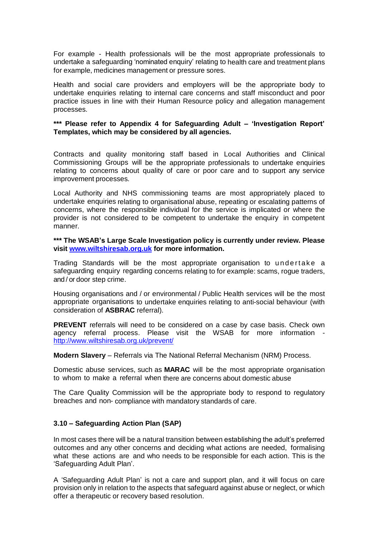For example - Health professionals will be the most appropriate professionals to undertake a safeguarding 'nominated enquiry' relating to health care and treatment plans for example, medicines management or pressure sores.

Health and social care providers and employers will be the appropriate body to undertake enquiries relating to internal care concerns and staff misconduct and poor practice issues in line with their Human Resource policy and allegation management processes.

## **\*\*\* Please refer to Appendix 4 for Safeguarding Adult – 'Investigation Report' Templates, which may be considered by all agencies.**

Contracts and quality monitoring staff based in Local Authorities and Clinical Commissioning Groups will be the appropriate professionals to undertake enquiries relating to concerns about quality of care or poor care and to support any service improvement processes.

Local Authority and NHS commissioning teams are most appropriately placed to undertake enquiries relating to organisational abuse, repeating or escalating patterns of concerns, where the responsible individual for the service is implicated or where the provider is not considered to be competent to undertake the enquiry in competent manner.

**\*\*\* The WSAB's Large Scale Investigation policy is currently under review. Please visit [www.wiltshiresab.org.uk](http://www.wiltshiresab.org.uk/) for more information.** 

Trading Standards will be the most appropriate organisation to undertake a safeguarding enquiry regarding concerns relating to for example: scams, rogue traders, and / or door step crime.

Housing organisations and / or environmental / Public Health services will be the most appropriate organisations to undertake enquiries relating to anti-social behaviour (with consideration of **ASBRAC** referral).

**PREVENT** referrals will need to be considered on a case by case basis. Check own agency referral process. Please visit the WSAB for more information <http://www.wiltshiresab.org.uk/prevent/>

**Modern Slavery** – Referrals via The National Referral Mechanism (NRM) Process.

Domestic abuse services, such as **MARAC** will be the most appropriate organisation to whom to make a referral when there are concerns about domestic abuse

The Care Quality Commission will be the appropriate body to respond to regulatory breaches and non- compliance with mandatory standards of care.

## **3.10 – Safeguarding Action Plan (SAP)**

In most cases there will be a natural transition between establishing the adult's preferred outcomes and any other concerns and deciding what actions are needed, formalising what these actions are and who needs to be responsible for each action. This is the 'Safeguarding Adult Plan'.

A 'Safeguarding Adult Plan' is not a care and support plan, and it will focus on care provision only in relation to the aspects that safeguard against abuse or neglect, or which offer a therapeutic or recovery based resolution.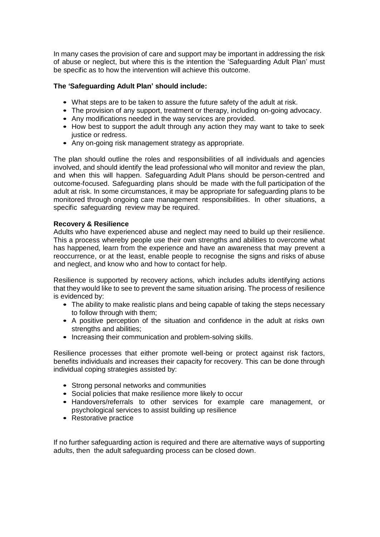In many cases the provision of care and support may be important in addressing the risk of abuse or neglect, but where this is the intention the 'Safeguarding Adult Plan' must be specific as to how the intervention will achieve this outcome.

## **The 'Safeguarding Adult Plan' should include:**

- What steps are to be taken to assure the future safety of the adult at risk.
- The provision of any support, treatment or therapy, including on-going advocacy.
- Any modifications needed in the way services are provided.
- How best to support the adult through any action they may want to take to seek justice or redress.
- Any on-going risk management strategy as appropriate.

The plan should outline the roles and responsibilities of all individuals and agencies involved, and should identify the lead professional who will monitor and review the plan, and when this will happen. Safeguarding Adult Plans should be person-centred and outcome-focused. Safeguarding plans should be made with the full participation of the adult at risk. In some circumstances, it may be appropriate for safeguarding plans to be monitored through ongoing care management responsibilities. In other situations, a specific safeguarding review may be required.

## **Recovery & Resilience**

Adults who have experienced abuse and neglect may need to build up their resilience. This a process whereby people use their own strengths and abilities to overcome what has happened, learn from the experience and have an awareness that may prevent a reoccurrence, or at the least, enable people to recognise the signs and risks of abuse and neglect, and know who and how to contact for help.

Resilience is supported by recovery actions, which includes adults identifying actions that they would like to see to prevent the same situation arising. The process of resilience is evidenced by:

- The ability to make realistic plans and being capable of taking the steps necessary to follow through with them;
- A positive perception of the situation and confidence in the adult at risks own strengths and abilities;
- Increasing their communication and problem-solving skills.

Resilience processes that either promote well-being or protect against risk factors, benefits individuals and increases their capacity for recovery. This can be done through individual coping strategies assisted by:

- Strong personal networks and communities
- Social policies that make resilience more likely to occur
- Handovers/referrals to other services for example care management, or psychological services to assist building up resilience
- Restorative practice

If no further safeguarding action is required and there are alternative ways of supporting adults, then the adult safeguarding process can be closed down.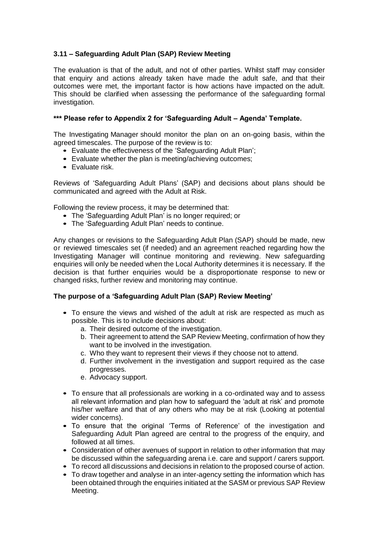## **3.11 – Safeguarding Adult Plan (SAP) Review Meeting**

The evaluation is that of the adult, and not of other parties. Whilst staff may consider that enquiry and actions already taken have made the adult safe, and that their outcomes were met, the important factor is how actions have impacted on the adult. This should be clarified when assessing the performance of the safeguarding formal investigation.

## **\*\*\* Please refer to Appendix 2 for 'Safeguarding Adult – Agenda' Template.**

The Investigating Manager should monitor the plan on an on-going basis, within the agreed timescales. The purpose of the review is to:

- Evaluate the effectiveness of the 'Safeguarding Adult Plan';
- Evaluate whether the plan is meeting/achieving outcomes;
- Evaluate risk.

Reviews of 'Safeguarding Adult Plans' (SAP) and decisions about plans should be communicated and agreed with the Adult at Risk.

Following the review process, it may be determined that:

- The 'Safeguarding Adult Plan' is no longer required; or
- The 'Safeguarding Adult Plan' needs to continue.

Any changes or revisions to the Safeguarding Adult Plan (SAP) should be made, new or reviewed timescales set (if needed) and an agreement reached regarding how the Investigating Manager will continue monitoring and reviewing. New safeguarding enquiries will only be needed when the Local Authority determines it is necessary. If the decision is that further enquiries would be a disproportionate response to new or changed risks, further review and monitoring may continue.

## **The purpose of a 'Safeguarding Adult Plan (SAP) Review Meeting'**

- To ensure the views and wished of the adult at risk are respected as much as possible. This is to include decisions about:
	- a. Their desired outcome of the investigation.
	- b. Their agreement to attend the SAP Review Meeting, confirmation of how they want to be involved in the investigation.
	- c. Who they want to represent their views if they choose not to attend.
	- d. Further involvement in the investigation and support required as the case progresses.
	- e. Advocacy support.
- To ensure that all professionals are working in a co-ordinated way and to assess all relevant information and plan how to safeguard the 'adult at risk' and promote his/her welfare and that of any others who may be at risk (Looking at potential wider concerns).
- To ensure that the original 'Terms of Reference' of the investigation and Safeguarding Adult Plan agreed are central to the progress of the enquiry, and followed at all times.
- Consideration of other avenues of support in relation to other information that may be discussed within the safeguarding arena i.e. care and support / carers support.
- To record all discussions and decisions in relation to the proposed course of action.
- To draw together and analyse in an inter-agency setting the information which has been obtained through the enquiries initiated at the SASM or previous SAP Review Meeting.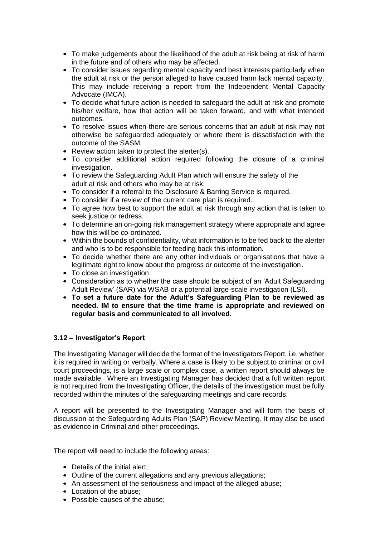- To make judgements about the likelihood of the adult at risk being at risk of harm in the future and of others who may be affected.
- To consider issues regarding mental capacity and best interests particularly when the adult at risk or the person alleged to have caused harm lack mental capacity. This may include receiving a report from the Independent Mental Capacity Advocate (IMCA).
- To decide what future action is needed to safeguard the adult at risk and promote his/her welfare, how that action will be taken forward, and with what intended outcomes.
- To resolve issues when there are serious concerns that an adult at risk may not otherwise be safeguarded adequately or where there is dissatisfaction with the outcome of the SASM.
- Review action taken to protect the alerter(s).
- To consider additional action required following the closure of a criminal investigation.
- To review the Safeguarding Adult Plan which will ensure the safety of the adult at risk and others who may be at risk.
- To consider if a referral to the Disclosure & Barring Service is required.
- To consider if a review of the current care plan is required.
- To agree how best to support the adult at risk through any action that is taken to seek justice or redress.
- To determine an on-going risk management strategy where appropriate and agree how this will be co-ordinated.
- Within the bounds of confidentiality, what information is to be fed back to the alerter and who is to be responsible for feeding back this information.
- To decide whether there are any other individuals or organisations that have a legitimate right to know about the progress or outcome of the investigation.
- To close an investigation.
- Consideration as to whether the case should be subject of an 'Adult Safeguarding Adult Review' (SAR) via WSAB or a potential large-scale investigation (LSI).
- **To set a future date for the Adult's Safeguarding Plan to be reviewed as needed. IM to ensure that the time frame is appropriate and reviewed on regular basis and communicated to all involved.**

## **3.12 – Investigator's Report**

The Investigating Manager will decide the format of the Investigators Report, i.e. whether it is required in writing or verbally. Where a case is likely to be subject to criminal or civil court proceedings, is a large scale or complex case, a written report should always be made available. Where an Investigating Manager has decided that a full written report is not required from the Investigating Officer, the details of the investigation must be fully recorded within the minutes of the safeguarding meetings and care records.

A report will be presented to the Investigating Manager and will form the basis of discussion at the Safeguarding Adults Plan (SAP) Review Meeting. It may also be used as evidence in Criminal and other proceedings.

The report will need to include the following areas:

- Details of the initial alert:
- Outline of the current allegations and any previous allegations;
- An assessment of the seriousness and impact of the alleged abuse;
- Location of the abuse;
- Possible causes of the abuse;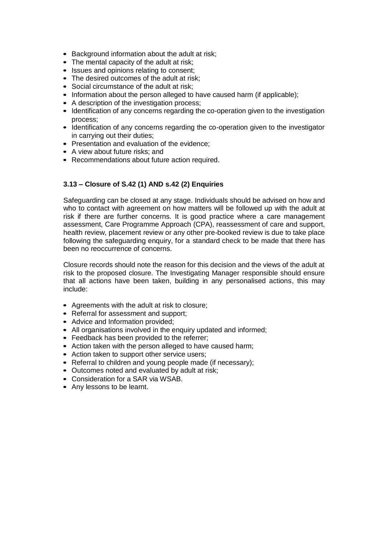- Background information about the adult at risk;
- The mental capacity of the adult at risk;
- Issues and opinions relating to consent;
- The desired outcomes of the adult at risk;
- Social circumstance of the adult at risk;
- Information about the person alleged to have caused harm (if applicable):
- A description of the investigation process;
- Identification of any concerns regarding the co-operation given to the investigation process;
- Identification of any concerns regarding the co-operation given to the investigator in carrying out their duties;
- Presentation and evaluation of the evidence;
- A view about future risks; and
- Recommendations about future action required.

## **3.13 – Closure of S.42 (1) AND s.42 (2) Enquiries**

Safeguarding can be closed at any stage. Individuals should be advised on how and who to contact with agreement on how matters will be followed up with the adult at risk if there are further concerns. It is good practice where a care management assessment, Care Programme Approach (CPA), reassessment of care and support, health review, placement review or any other pre-booked review is due to take place following the safeguarding enquiry, for a standard check to be made that there has been no reoccurrence of concerns.

Closure records should note the reason for this decision and the views of the adult at risk to the proposed closure. The Investigating Manager responsible should ensure that all actions have been taken, building in any personalised actions, this may include:

- Agreements with the adult at risk to closure;
- Referral for assessment and support;
- Advice and Information provided;
- All organisations involved in the enquiry updated and informed;
- Feedback has been provided to the referrer;
- Action taken with the person alleged to have caused harm;
- Action taken to support other service users:
- Referral to children and young people made (if necessary);
- Outcomes noted and evaluated by adult at risk;
- Consideration for a SAR via WSAB.
- Any lessons to be learnt.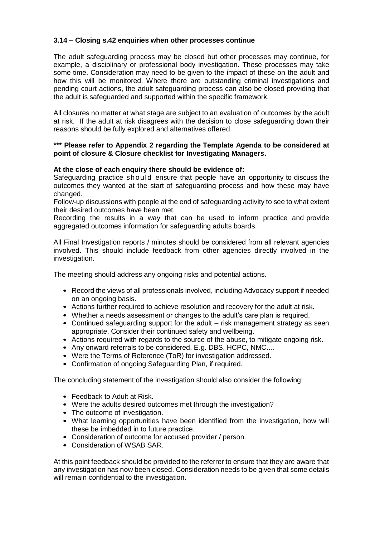## **3.14 – Closing s.42 enquiries when other processes continue**

The adult safeguarding process may be closed but other processes may continue, for example, a disciplinary or professional body investigation. These processes may take some time. Consideration may need to be given to the impact of these on the adult and how this will be monitored. Where there are outstanding criminal investigations and pending court actions, the adult safeguarding process can also be closed providing that the adult is safeguarded and supported within the specific framework.

All closures no matter at what stage are subject to an evaluation of outcomes by the adult at risk. If the adult at risk disagrees with the decision to close safeguarding down their reasons should be fully explored and alternatives offered.

## **\*\*\* Please refer to Appendix 2 regarding the Template Agenda to be considered at point of closure & Closure checklist for Investigating Managers.**

## **At the close of each enquiry there should be evidence of:**

Safeguarding practice should ensure that people have an opportunity to discuss the outcomes they wanted at the start of safeguarding process and how these may have changed.

Follow-up discussions with people at the end of safeguarding activity to see to what extent their desired outcomes have been met.

Recording the results in a way that can be used to inform practice and provide aggregated outcomes information for safeguarding adults boards.

All Final Investigation reports / minutes should be considered from all relevant agencies involved. This should include feedback from other agencies directly involved in the investigation.

The meeting should address any ongoing risks and potential actions.

- Record the views of all professionals involved, including Advocacy support if needed on an ongoing basis.
- Actions further required to achieve resolution and recovery for the adult at risk.
- Whether a needs assessment or changes to the adult's care plan is required.
- Continued safeguarding support for the adult risk management strategy as seen appropriate. Consider their continued safety and wellbeing.
- Actions required with regards to the source of the abuse, to mitigate ongoing risk.
- Any onward referrals to be considered. E.g. DBS, HCPC, NMC....
- Were the Terms of Reference (ToR) for investigation addressed.
- Confirmation of ongoing Safeguarding Plan, if required.

The concluding statement of the investigation should also consider the following:

- Feedback to Adult at Risk.
- Were the adults desired outcomes met through the investigation?
- The outcome of investigation.
- What learning opportunities have been identified from the investigation, how will these be imbedded in to future practice.
- Consideration of outcome for accused provider / person.
- Consideration of WSAB SAR.

At this point feedback should be provided to the referrer to ensure that they are aware that any investigation has now been closed. Consideration needs to be given that some details will remain confidential to the investigation.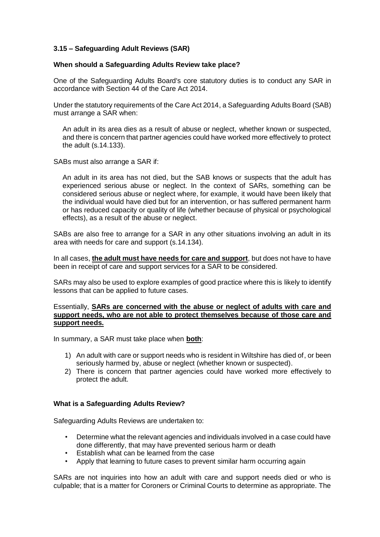## **3.15 – Safeguarding Adult Reviews (SAR)**

## **When should a Safeguarding Adults Review take place?**

One of the Safeguarding Adults Board's core statutory duties is to conduct any SAR in accordance with Section 44 of the Care Act 2014.

Under the statutory requirements of the Care Act 2014, a Safeguarding Adults Board (SAB) must arrange a SAR when:

An adult in its area dies as a result of abuse or neglect, whether known or suspected, and there is concern that partner agencies could have worked more effectively to protect the adult (s.14.133).

SABs must also arrange a SAR if:

An adult in its area has not died, but the SAB knows or suspects that the adult has experienced serious abuse or neglect. In the context of SARs, something can be considered serious abuse or neglect where, for example, it would have been likely that the individual would have died but for an intervention, or has suffered permanent harm or has reduced capacity or quality of life (whether because of physical or psychological effects), as a result of the abuse or neglect.

SABs are also free to arrange for a SAR in any other situations involving an adult in its area with needs for care and support (s.14.134).

In all cases, **the adult must have needs for care and support**, but does not have to have been in receipt of care and support services for a SAR to be considered.

SARs may also be used to explore examples of good practice where this is likely to identify lessons that can be applied to future cases.

## Essentially, **SARs are concerned with the abuse or neglect of adults with care and support needs, who are not able to protect themselves because of those care and support needs.**

In summary, a SAR must take place when **both**:

- 1) An adult with care or support needs who is resident in Wiltshire has died of, or been seriously harmed by, abuse or neglect (whether known or suspected).
- 2) There is concern that partner agencies could have worked more effectively to protect the adult.

## **What is a Safeguarding Adults Review?**

Safeguarding Adults Reviews are undertaken to:

- Determine what the relevant agencies and individuals involved in a case could have done differently, that may have prevented serious harm or death
- Establish what can be learned from the case
- Apply that learning to future cases to prevent similar harm occurring again

SARs are not inquiries into how an adult with care and support needs died or who is culpable; that is a matter for Coroners or Criminal Courts to determine as appropriate. The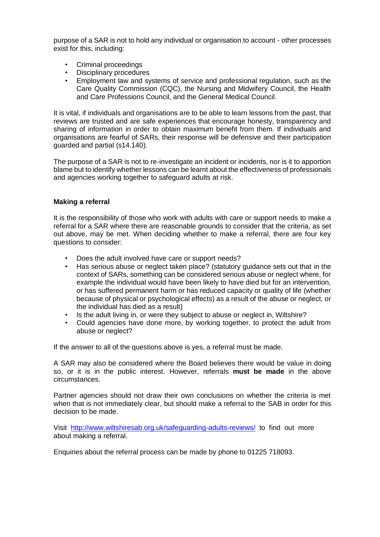purpose of a SAR is not to hold any individual or organisation to account - other processes exist for this, including:

- Criminal proceedings
- Disciplinary procedures
- Employment law and systems of service and professional regulation, such as the Care Quality Commission (CQC), the Nursing and Midwifery Council, the Health and Care Professions Council, and the General Medical Council.

It is vital, if individuals and organisations are to be able to learn lessons from the past, that reviews are trusted and are safe experiences that encourage honesty, transparency and sharing of information in order to obtain maximum benefit from them. If individuals and organisations are fearful of SARs, their response will be defensive and their participation guarded and partial (s14.140).

The purpose of a SAR is not to re-investigate an incident or incidents, nor is it to apportion blame but to identify whether lessons can be learnt about the effectiveness of professionals and agencies working together to safeguard adults at risk.

## **Making a referral**

It is the responsibility of those who work with adults with care or support needs to make a referral for a SAR where there are reasonable grounds to consider that the criteria, as set out above, may be met. When deciding whether to make a referral, there are four key questions to consider:

- Does the adult involved have care or support needs?
- Has serious abuse or neglect taken place? (statutory guidance sets out that in the context of SARs, something can be considered serious abuse or neglect where, for example the individual would have been likely to have died but for an intervention, or has suffered permanent harm or has reduced capacity or quality of life (whether because of physical or psychological effects) as a result of the abuse or neglect, or the individual has died as a result)
- Is the adult living in, or were they subject to abuse or neglect in, Wiltshire?
- Could agencies have done more, by working together, to protect the adult from abuse or neglect?

If the answer to all of the questions above is yes, a referral must be made.

A SAR may also be considered where the Board believes there would be value in doing so, or it is in the public interest. However, referrals **must be made** in the above circumstances.

Partner agencies should not draw their own conclusions on whether the criteria is met when that is not immediately clear, but should make a referral to the SAB in order for this decision to be made.

Visit <http://www.wiltshiresab.org.uk/safeguarding-adults-reviews/> to find out more about making a referral.

Enquiries about the referral process can be made by phone to 01225 718093.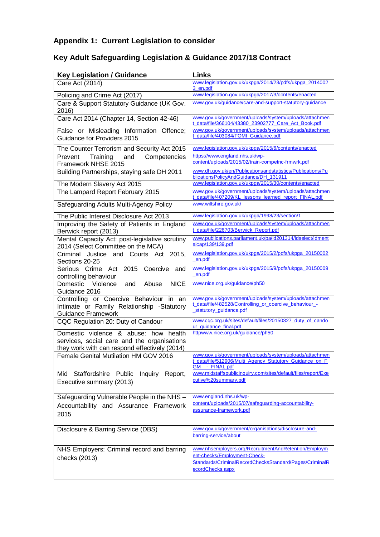## **Appendix 1: Current Legislation to consider**

## **Key Adult Safeguarding Legislation & Guidance 2017/18 Contract**

| <b>Key Legislation / Guidance</b>                                                                                                     | <b>Links</b>                                                                                                                                                       |
|---------------------------------------------------------------------------------------------------------------------------------------|--------------------------------------------------------------------------------------------------------------------------------------------------------------------|
| Care Act (2014)                                                                                                                       | www.legislation.gov.uk/ukpga/2014/23/pdfs/ukpga_2014002<br>3 en.pdf                                                                                                |
| Policing and Crime Act (2017)                                                                                                         | www.legislation.gov.uk/ukpga/2017/3/contents/enacted                                                                                                               |
| Care & Support Statutory Guidance (UK Gov.<br>2016)                                                                                   | www.gov.uk/quidance/care-and-support-statutory-quidance                                                                                                            |
| Care Act 2014 (Chapter 14, Section 42-46)                                                                                             | www.gov.uk/government/uploads/system/uploads/attachmen<br>t_data/file/366104/43380_23902777_Care_Act_Book.pdf                                                      |
| False or Misleading Information Offence;<br>Guidance for Providers 2015                                                               | www.gov.uk/government/uploads/system/uploads/attachmen<br>t data/file/403084/FOMI Guidance.pdf                                                                     |
| The Counter Terrorism and Security Act 2015                                                                                           | www.legislation.gov.uk/ukpga/2015/6/contents/enacted                                                                                                               |
| Prevent<br>Training<br>Competencies<br>and<br>Framework NHSE 2015                                                                     | https://www.england.nhs.uk/wp-<br>content/uploads/2015/02/train-competnc-frmwrk.pdf                                                                                |
| Building Partnerships, staying safe DH 2011                                                                                           | www.dh.gov.uk/en/Publicationsandstatistics/Publications/Pu<br>blicationsPolicyAndGuidance/DH_131911                                                                |
| The Modern Slavery Act 2015                                                                                                           | www.legislation.gov.uk/ukpga/2015/30/contents/enacted                                                                                                              |
| The Lampard Report February 2015                                                                                                      | www.gov.uk/government/uploads/system/uploads/attachmen<br>t_data/file/407209/KL_lessons_learned_report_FINAL.pdf                                                   |
| Safeguarding Adults Multi-Agency Policy                                                                                               | www.wiltshire.gov.uk/                                                                                                                                              |
| The Public Interest Disclosure Act 2013                                                                                               | www.legislation.gov.uk/ukpga/1998/23/section/1                                                                                                                     |
| Improving the Safety of Patients in England<br>Berwick report (2013)                                                                  | www.gov.uk/government/uploads/system/uploads/attachmen<br>t_data/file/226703/Berwick_Report.pdf                                                                    |
| Mental Capacity Act: post-legislative scrutiny<br>2014 (Select Committee on the MCA)                                                  | www.publications.parliament.uk/pa/ld201314/ldselect/ldment<br>alcap/139/139.pdf                                                                                    |
| Criminal Justice and Courts Act 2015,<br>Sections 20-25                                                                               | www.legislation.gov.uk/ukpga/2015/2/pdfs/ukpga_20150002<br>en.pdf                                                                                                  |
| Serious Crime Act 2015<br>Coercive and<br>controlling behaviour                                                                       | www.legislation.gov.uk/ukpga/2015/9/pdfs/ukpga_20150009<br>_en.pdf                                                                                                 |
| <b>NICE</b><br>Domestic Violence<br>Abuse<br>and<br>Guidance 2016                                                                     | www.nice.org.uk/guidance/ph50                                                                                                                                      |
| Controlling or Coercive Behaviour in an<br>Intimate or Family Relationship -Statutory<br><b>Guidance Framework</b>                    | www.gov.uk/government/uploads/system/uploads/attachmen<br>t_data/file/482528/Controlling_or_coercive_behaviour_-<br>_statutory_guidance.pdf                        |
| CQC Regulation 20: Duty of Candour                                                                                                    | www.cqc.org.uk/sites/default/files/20150327_duty_of_cando<br>ur_guidance_final.pdf                                                                                 |
| Domestic violence & abuse: how health<br>services, social care and the organisations<br>they work with can respond effectively (2014) | httpwww.nice.org.uk/guidance/ph50                                                                                                                                  |
| Female Genital Mutilation HM GOV 2016                                                                                                 | www.gov.uk/government/uploads/system/uploads/attachmen<br>t_data/file/512906/Multi_Agency_Statutory_Guidance_on_F<br>- FINAL.pdf<br>GM                             |
| Mid Staffordshire Public<br>Inquiry<br>Report,<br>Executive summary (2013)                                                            | www.midstaffspublicinquiry.com/sites/default/files/report/Exe<br>cutive%20summary.pdf                                                                              |
| Safeguarding Vulnerable People in the NHS -<br>Accountability and Assurance Framework<br>2015                                         | www.england.nhs.uk/wp-<br>content/uploads/2015/07/safequarding-accountability-<br>assurance-framework.pdf                                                          |
| Disclosure & Barring Service (DBS)                                                                                                    | www.gov.uk/government/organisations/disclosure-and-<br>barring-service/about                                                                                       |
| NHS Employers: Criminal record and barring<br>checks (2013)                                                                           | www.nhsemployers.org/RecruitmentAndRetention/Employm<br>ent-checks/Employment-Check-<br>Standards/CriminalRecordChecksStandard/Pages/CriminalR<br>ecordChecks.aspx |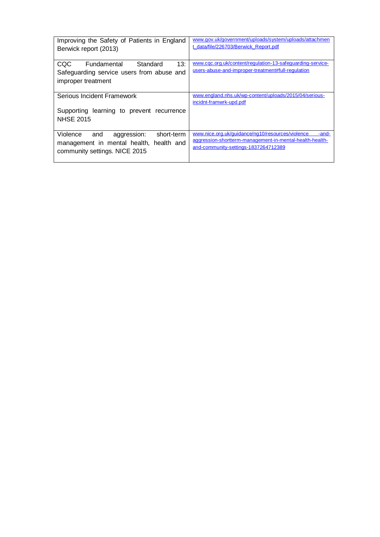| Improving the Safety of Patients in England<br>Berwick report (2013)                                                        | www.gov.uk/government/uploads/system/uploads/attachmen<br>t data/file/226703/Berwick Report.pdf                                                               |
|-----------------------------------------------------------------------------------------------------------------------------|---------------------------------------------------------------------------------------------------------------------------------------------------------------|
| 13:<br>Fundamental<br>Standard<br>CQC.<br>Safeguarding service users from abuse and<br>improper treatment                   | www.cqc.org.uk/content/regulation-13-safeguarding-service-<br>users-abuse-and-improper-treatment#full-regulation                                              |
| Serious Incident Framework<br>Supporting learning to prevent recurrence<br><b>NHSE 2015</b>                                 | www.england.nhs.uk/wp-content/uploads/2015/04/serious-<br>incidnt-framwrk-upd.pdf                                                                             |
| Violence<br>short-term<br>and<br>aggression:<br>health and<br>management in mental health,<br>community settings. NICE 2015 | www.nice.org.uk/guidance/ng10/resources/violence<br>-and-<br>aggression-shortterm-management-in-mental-health-health-<br>and-community-settings-1837264712389 |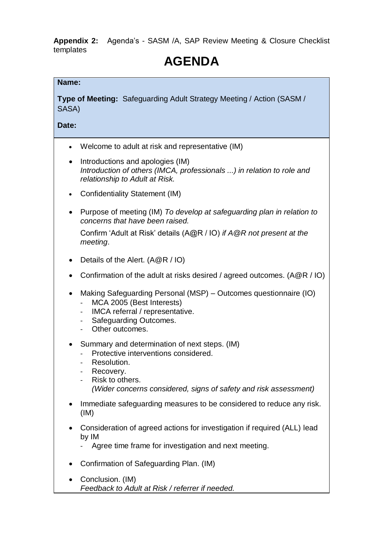**Appendix 2:** Agenda's - SASM /A, SAP Review Meeting & Closure Checklist templates

## **AGENDA**

## **Name:**

**Type of Meeting:** Safeguarding Adult Strategy Meeting / Action (SASM / SASA)

**Date:**

- Welcome to adult at risk and representative (IM)
- Introductions and apologies (IM) *Introduction of others (IMCA, professionals ...) in relation to role and relationship to Adult at Risk.*
- Confidentiality Statement (IM)
- Purpose of meeting (IM) *To develop at safeguarding plan in relation to concerns that have been raised.*

Confirm 'Adult at Risk' details (A@R / IO) *if A@R not present at the meeting*.

- Details of the Alert. (A@R / IO)
- Confirmation of the adult at risks desired / agreed outcomes. (A@R / IO)
- Making Safeguarding Personal (MSP) Outcomes questionnaire (IO)
	- MCA 2005 (Best Interests)
	- IMCA referral / representative.
	- Safeguarding Outcomes.
	- Other outcomes.
- Summary and determination of next steps. (IM)
	- Protective interventions considered.
	- Resolution.
	- Recovery.
	- Risk to others. *(Wider concerns considered, signs of safety and risk assessment)*
- Immediate safeguarding measures to be considered to reduce any risk. (IM)
- Consideration of agreed actions for investigation if required (ALL) lead by IM
	- Agree time frame for investigation and next meeting.
- Confirmation of Safeguarding Plan. (IM)
- Conclusion. (IM) *Feedback to Adult at Risk / referrer if needed.*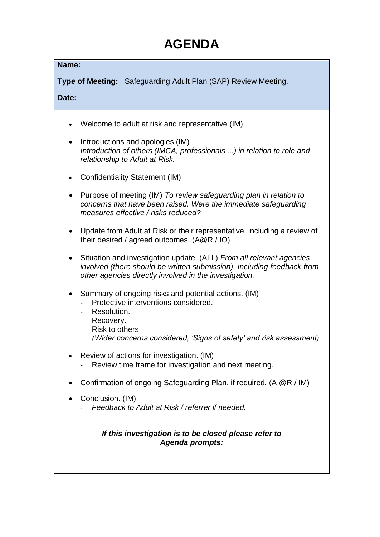## **AGENDA**

## **Name:**

**Type of Meeting:** Safeguarding Adult Plan (SAP) Review Meeting.

**Date:**

- Welcome to adult at risk and representative (IM)
- Introductions and apologies (IM) *Introduction of others (IMCA, professionals ...) in relation to role and relationship to Adult at Risk.*
- Confidentiality Statement (IM)
- Purpose of meeting (IM) *To review safeguarding plan in relation to concerns that have been raised. Were the immediate safeguarding measures effective / risks reduced?*
- Update from Adult at Risk or their representative, including a review of their desired / agreed outcomes. (A@R / IO)
- Situation and investigation update. (ALL) *From all relevant agencies involved (there should be written submission). Including feedback from other agencies directly involved in the investigation.*
- Summary of ongoing risks and potential actions. (IM)
	- Protective interventions considered.
	- Resolution.
	- Recovery.
	- Risk to others *(Wider concerns considered, 'Signs of safety' and risk assessment)*
- Review of actions for investigation. (IM)
	- Review time frame for investigation and next meeting.
- Confirmation of ongoing Safeguarding Plan, if required. (A @R / IM)
- Conclusion. (IM)
	- *Feedback to Adult at Risk / referrer if needed.*

## *If this investigation is to be closed please refer to Agenda prompts:*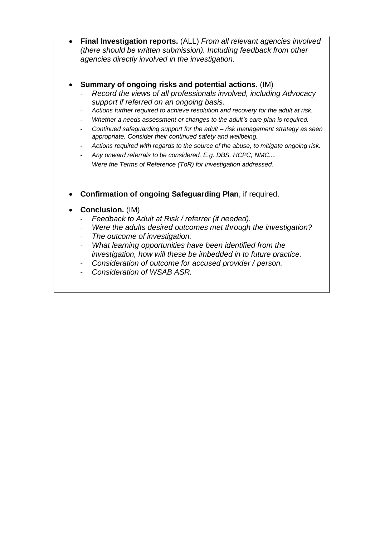- **Final Investigation reports.** (ALL) *From all relevant agencies involved (there should be written submission). Including feedback from other agencies directly involved in the investigation.*
- **Summary of ongoing risks and potential actions**. (IM)
	- *Record the views of all professionals involved, including Advocacy support if referred on an ongoing basis.*
	- *Actions further required to achieve resolution and recovery for the adult at risk.*
	- *Whether a needs assessment or changes to the adult's care plan is required.*
	- *Continued safeguarding support for the adult – risk management strategy as seen appropriate. Consider their continued safety and wellbeing.*
	- *Actions required with regards to the source of the abuse, to mitigate ongoing risk.*
	- *Any onward referrals to be considered. E.g. DBS, HCPC, NMC....*
	- *Were the Terms of Reference (ToR) for investigation addressed.*
- **Confirmation of ongoing Safeguarding Plan**, if required.
- **Conclusion.** (IM)
	- *Feedback to Adult at Risk / referrer (if needed).*
	- *Were the adults desired outcomes met through the investigation?*
	- *The outcome of investigation.*
	- *What learning opportunities have been identified from the investigation, how will these be imbedded in to future practice.*
	- *Consideration of outcome for accused provider / person.*
	- *Consideration of WSAB ASR.*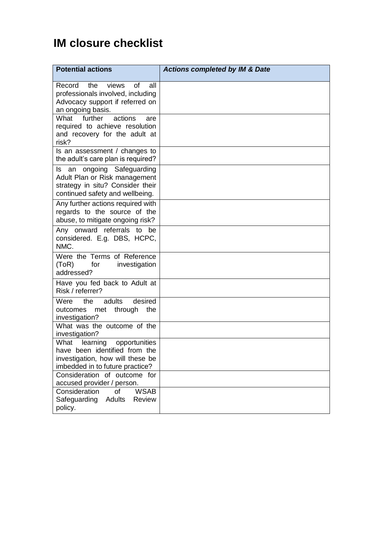## **IM closure checklist**

| <b>Potential actions</b>                                                                                                            | <b>Actions completed by IM &amp; Date</b> |
|-------------------------------------------------------------------------------------------------------------------------------------|-------------------------------------------|
| the<br>views<br>0f<br>Record<br>all<br>professionals involved, including<br>Advocacy support if referred on<br>an ongoing basis.    |                                           |
| further<br>actions<br>What<br>are<br>required to achieve resolution<br>and recovery for the adult at<br>risk?                       |                                           |
| Is an assessment / changes to<br>the adult's care plan is required?                                                                 |                                           |
| Is an ongoing Safeguarding<br>Adult Plan or Risk management<br>strategy in situ? Consider their<br>continued safety and wellbeing.  |                                           |
| Any further actions required with<br>regards to the source of the<br>abuse, to mitigate ongoing risk?                               |                                           |
| Any onward referrals to be<br>considered. E.g. DBS, HCPC,<br>NMC.                                                                   |                                           |
| Were the Terms of Reference<br>(ToR)<br>for<br>investigation<br>addressed?                                                          |                                           |
| Have you fed back to Adult at<br>Risk / referrer?                                                                                   |                                           |
| desired<br>Were<br>adults<br>the<br>outcomes<br>met<br>through<br>the<br>investigation?                                             |                                           |
| What was the outcome of the<br>investigation?                                                                                       |                                           |
| What learning opportunities<br>have been identified from the<br>investigation, how will these be<br>imbedded in to future practice? |                                           |
| Consideration of outcome for<br>accused provider / person.                                                                          |                                           |
| <b>WSAB</b><br>Consideration<br>of<br>Adults<br>Safeguarding<br><b>Review</b><br>policy.                                            |                                           |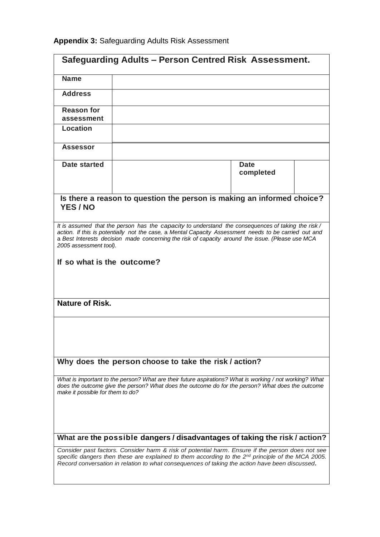| Safeguarding Adults - Person Centred Risk Assessment.                                                                                                                                                                                                                                                                                                                  |                                                                        |                          |  |
|------------------------------------------------------------------------------------------------------------------------------------------------------------------------------------------------------------------------------------------------------------------------------------------------------------------------------------------------------------------------|------------------------------------------------------------------------|--------------------------|--|
| <b>Name</b>                                                                                                                                                                                                                                                                                                                                                            |                                                                        |                          |  |
| <b>Address</b>                                                                                                                                                                                                                                                                                                                                                         |                                                                        |                          |  |
| <b>Reason for</b><br>assessment                                                                                                                                                                                                                                                                                                                                        |                                                                        |                          |  |
| Location                                                                                                                                                                                                                                                                                                                                                               |                                                                        |                          |  |
| <b>Assessor</b>                                                                                                                                                                                                                                                                                                                                                        |                                                                        |                          |  |
| Date started                                                                                                                                                                                                                                                                                                                                                           |                                                                        | <b>Date</b><br>completed |  |
| <b>YES/NO</b>                                                                                                                                                                                                                                                                                                                                                          | Is there a reason to question the person is making an informed choice? |                          |  |
| It is assumed that the person has the capacity to understand the consequences of taking the risk/<br>action. If this is potentially not the case, a Mental Capacity Assessment needs to be carried out and<br>a Best Interests decision made concerning the risk of capacity around the issue. (Please use MCA<br>2005 assessment tool).<br>If so what is the outcome? |                                                                        |                          |  |
| <b>Nature of Risk.</b>                                                                                                                                                                                                                                                                                                                                                 |                                                                        |                          |  |
|                                                                                                                                                                                                                                                                                                                                                                        |                                                                        |                          |  |
|                                                                                                                                                                                                                                                                                                                                                                        | Why does the person choose to take the risk / action?                  |                          |  |
| What is important to the person? What are their future aspirations? What is working / not working? What<br>does the outcome give the person? What does the outcome do for the person? What does the outcome<br>make it possible for them to do?                                                                                                                        |                                                                        |                          |  |
| What are the possible dangers / disadvantages of taking the risk / action?                                                                                                                                                                                                                                                                                             |                                                                        |                          |  |
| Consider past factors. Consider harm & risk of potential harm. Ensure if the person does not see<br>specific dangers then these are explained to them according to the $2^{nd}$ principle of the MCA 2005.<br>Record conversation in relation to what consequences of taking the action have been discussed.                                                           |                                                                        |                          |  |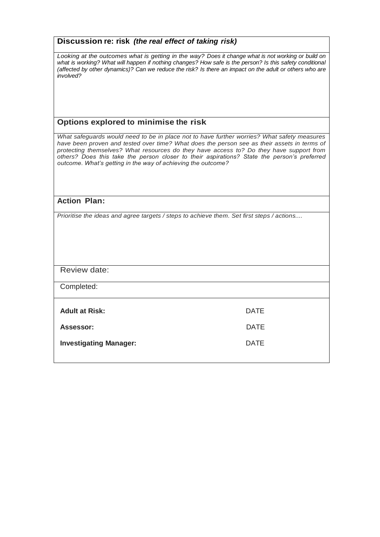| Discussion re: risk (the real effect of taking risk)                                                                                                                                                                                                                                                                                                                                                                                                 |             |  |
|------------------------------------------------------------------------------------------------------------------------------------------------------------------------------------------------------------------------------------------------------------------------------------------------------------------------------------------------------------------------------------------------------------------------------------------------------|-------------|--|
| Looking at the outcomes what is getting in the way? Does it change what is not working or build on<br>what is working? What will happen if nothing changes? How safe is the person? Is this safety conditional<br>(affected by other dynamics)? Can we reduce the risk? Is there an impact on the adult or others who are<br>involved?                                                                                                               |             |  |
| Options explored to minimise the risk                                                                                                                                                                                                                                                                                                                                                                                                                |             |  |
| What safeguards would need to be in place not to have further worries? What safety measures<br>have been proven and tested over time? What does the person see as their assets in terms of<br>protecting themselves? What resources do they have access to? Do they have support from<br>others? Does this take the person closer to their aspirations? State the person's preferred<br>outcome. What's getting in the way of achieving the outcome? |             |  |
|                                                                                                                                                                                                                                                                                                                                                                                                                                                      |             |  |
| <b>Action Plan:</b>                                                                                                                                                                                                                                                                                                                                                                                                                                  |             |  |
| Prioritise the ideas and agree targets / steps to achieve them. Set first steps / actions                                                                                                                                                                                                                                                                                                                                                            |             |  |
| Review date:                                                                                                                                                                                                                                                                                                                                                                                                                                         |             |  |
| Completed:                                                                                                                                                                                                                                                                                                                                                                                                                                           |             |  |
| <b>Adult at Risk:</b>                                                                                                                                                                                                                                                                                                                                                                                                                                | <b>DATE</b> |  |
| Assessor:                                                                                                                                                                                                                                                                                                                                                                                                                                            | DATE        |  |
| <b>Investigating Manager:</b>                                                                                                                                                                                                                                                                                                                                                                                                                        | <b>DATE</b> |  |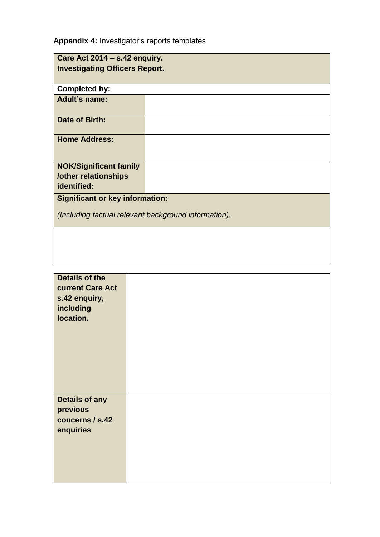**Appendix 4:** Investigator's reports templates

| Care Act 2014 - s.42 enquiry.                                               |  |  |
|-----------------------------------------------------------------------------|--|--|
| <b>Investigating Officers Report.</b>                                       |  |  |
|                                                                             |  |  |
| <b>Completed by:</b>                                                        |  |  |
| <b>Adult's name:</b>                                                        |  |  |
| Date of Birth:                                                              |  |  |
| <b>Home Address:</b>                                                        |  |  |
| <b>NOK/Significant family</b><br><b>/other relationships</b><br>identified: |  |  |
| <b>Significant or key information:</b>                                      |  |  |
| (Including factual relevant background information).                        |  |  |
|                                                                             |  |  |
|                                                                             |  |  |
|                                                                             |  |  |

| Details of the<br>current Care Act<br>s.42 enquiry,<br>including<br>location. |  |
|-------------------------------------------------------------------------------|--|
| <b>Details of any</b><br>previous<br>concerns / s.42<br>enquiries             |  |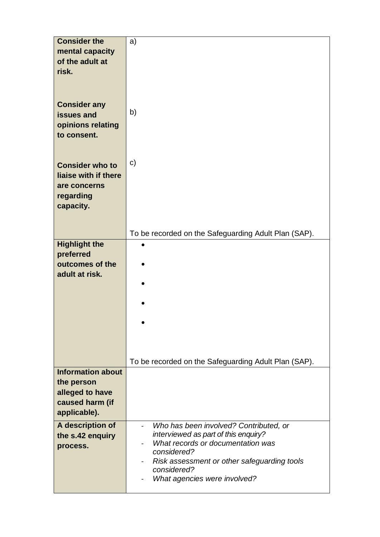| <b>Consider the</b>          | a)                                                                        |
|------------------------------|---------------------------------------------------------------------------|
| mental capacity              |                                                                           |
| of the adult at              |                                                                           |
| risk.                        |                                                                           |
|                              |                                                                           |
|                              |                                                                           |
| <b>Consider any</b>          |                                                                           |
| issues and                   | b)                                                                        |
| opinions relating            |                                                                           |
| to consent.                  |                                                                           |
|                              |                                                                           |
|                              |                                                                           |
| <b>Consider who to</b>       | $\mathbf{C}$                                                              |
| liaise with if there         |                                                                           |
| are concerns                 |                                                                           |
| regarding                    |                                                                           |
| capacity.                    |                                                                           |
|                              |                                                                           |
|                              |                                                                           |
|                              | To be recorded on the Safeguarding Adult Plan (SAP).                      |
| <b>Highlight the</b>         |                                                                           |
| preferred<br>outcomes of the |                                                                           |
| adult at risk.               |                                                                           |
|                              |                                                                           |
|                              |                                                                           |
|                              |                                                                           |
|                              |                                                                           |
|                              |                                                                           |
|                              |                                                                           |
|                              |                                                                           |
|                              |                                                                           |
| <b>Information about</b>     | To be recorded on the Safeguarding Adult Plan (SAP).                      |
| the person                   |                                                                           |
| alleged to have              |                                                                           |
| caused harm (if              |                                                                           |
| applicable).                 |                                                                           |
|                              |                                                                           |
| A description of             | Who has been involved? Contributed, or<br>$\overline{\phantom{0}}$        |
| the s.42 enquiry             | interviewed as part of this enquiry?<br>What records or documentation was |
| process.                     | considered?                                                               |
|                              | Risk assessment or other safeguarding tools                               |
|                              | considered?                                                               |
|                              | What agencies were involved?                                              |
|                              |                                                                           |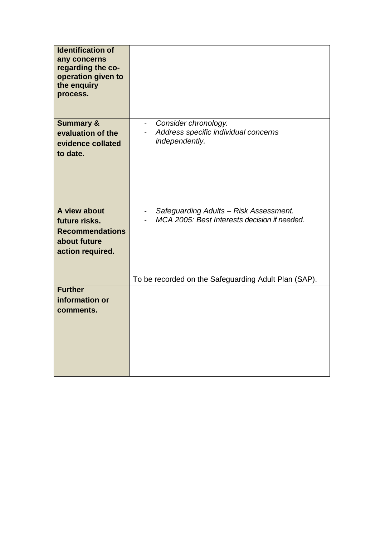| <b>Identification of</b><br>any concerns<br>regarding the co-<br>operation given to<br>the enquiry<br>process. |                                                                                                   |
|----------------------------------------------------------------------------------------------------------------|---------------------------------------------------------------------------------------------------|
| <b>Summary &amp;</b><br>evaluation of the<br>evidence collated<br>to date.                                     | Consider chronology.<br>$\sim$ 10 $\pm$<br>Address specific individual concerns<br>independently. |
| A view about<br>future risks.<br><b>Recommendations</b><br>about future<br>action required.                    | Safeguarding Adults - Risk Assessment.<br>MCA 2005: Best Interests decision if needed.            |
|                                                                                                                | To be recorded on the Safeguarding Adult Plan (SAP).                                              |
| <b>Further</b><br>information or<br>comments.                                                                  |                                                                                                   |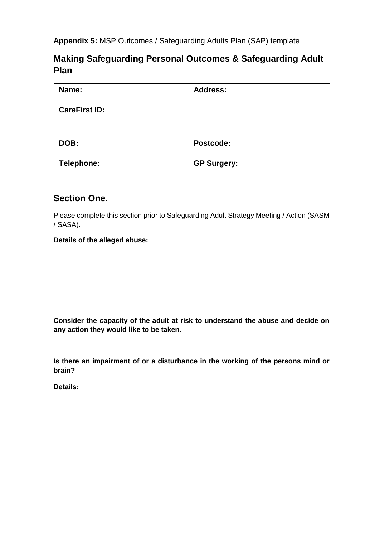**Appendix 5:** MSP Outcomes / Safeguarding Adults Plan (SAP) template

## **Making Safeguarding Personal Outcomes & Safeguarding Adult Plan**

| Name:                | <b>Address:</b>    |
|----------------------|--------------------|
| <b>CareFirst ID:</b> |                    |
|                      |                    |
| DOB:                 | Postcode:          |
| Telephone:           | <b>GP Surgery:</b> |

## **Section One.**

Please complete this section prior to Safeguarding Adult Strategy Meeting / Action (SASM / SASA).

## **Details of the alleged abuse:**

**Consider the capacity of the adult at risk to understand the abuse and decide on any action they would like to be taken.**

**Is there an impairment of or a disturbance in the working of the persons mind or brain?**

**Details:**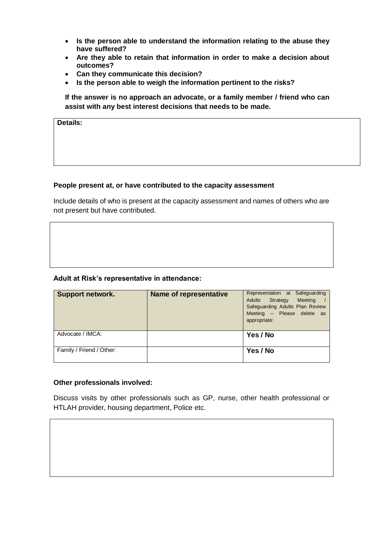- **Is the person able to understand the information relating to the abuse they have suffered?**
- **Are they able to retain that information in order to make a decision about outcomes?**
- **Can they communicate this decision?**
- **Is the person able to weigh the information pertinent to the risks?**

**If the answer is no approach an advocate, or a family member / friend who can assist with any best interest decisions that needs to be made.** 

**Details:**

## **People present at, or have contributed to the capacity assessment**

Include details of who is present at the capacity assessment and names of others who are not present but have contributed.

## **Adult at Risk's representative in attendance:**

| <b>Support network.</b>  | Name of representative | Representation at Safeguarding<br>Adults Strategy<br>Meeting<br>Safeguarding Adults Plan Review<br>Meeting - Please delete as<br>appropriate: |
|--------------------------|------------------------|-----------------------------------------------------------------------------------------------------------------------------------------------|
| Advocate / IMCA:         |                        | Yes / No                                                                                                                                      |
| Family / Friend / Other: |                        | Yes / No                                                                                                                                      |

## **Other professionals involved:**

Discuss visits by other professionals such as GP, nurse, other health professional or HTLAH provider, housing department, Police etc.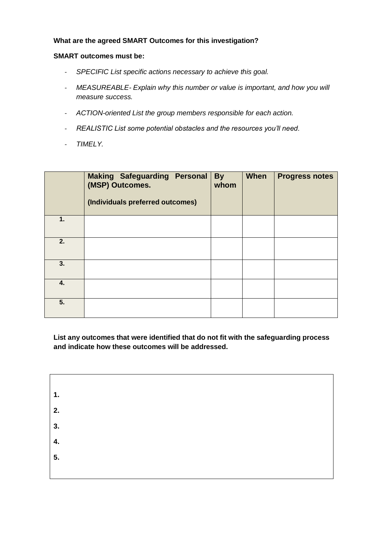## **What are the agreed SMART Outcomes for this investigation?**

## **SMART outcomes must be:**

- *SPECIFIC List specific actions necessary to achieve this goal.*
- *MEASUREABLE- Explain why this number or value is important, and how you will measure success.*
- *ACTION-oriented List the group members responsible for each action.*
- *REALISTIC List some potential obstacles and the resources you'll need.*
- *TIMELY.*

|    | <b>Making Safeguarding Personal</b><br>(MSP) Outcomes.<br>(Individuals preferred outcomes) | <b>By</b><br>whom | <b>When</b> | <b>Progress notes</b> |
|----|--------------------------------------------------------------------------------------------|-------------------|-------------|-----------------------|
| 1. |                                                                                            |                   |             |                       |
| 2. |                                                                                            |                   |             |                       |
| 3. |                                                                                            |                   |             |                       |
| 4. |                                                                                            |                   |             |                       |
| 5. |                                                                                            |                   |             |                       |

**List any outcomes that were identified that do not fit with the safeguarding process and indicate how these outcomes will be addressed.** 

| $\mathbf{1}$ . |  |  |
|----------------|--|--|
| 2.             |  |  |
| 3.             |  |  |
| 4.             |  |  |
| 5.             |  |  |
|                |  |  |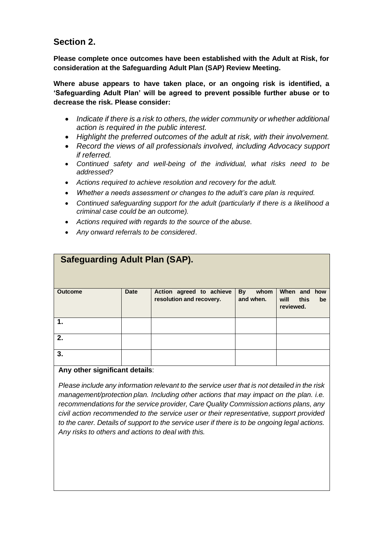## **Section 2.**

**Please complete once outcomes have been established with the Adult at Risk, for consideration at the Safeguarding Adult Plan (SAP) Review Meeting.**

**Where abuse appears to have taken place, or an ongoing risk is identified, a 'Safeguarding Adult Plan' will be agreed to prevent possible further abuse or to decrease the risk. Please consider:**

- *Indicate if there is a risk to others, the wider community or whether additional action is required in the public interest.*
- *Highlight the preferred outcomes of the adult at risk, with their involvement.*
- *Record the views of all professionals involved, including Advocacy support if referred.*
- *Continued safety and well-being of the individual, what risks need to be addressed?*
- *Actions required to achieve resolution and recovery for the adult.*
- *Whether a needs assessment or changes to the adult's care plan is required.*
- *Continued safeguarding support for the adult (particularly if there is a likelihood a criminal case could be an outcome).*
- *Actions required with regards to the source of the abuse.*
- *Any onward referrals to be considered*.

| <b>Safeguarding Adult Plan (SAP).</b> |             |                                                      |                                |                                                 |  |  |
|---------------------------------------|-------------|------------------------------------------------------|--------------------------------|-------------------------------------------------|--|--|
| <b>Outcome</b>                        | <b>Date</b> | Action agreed to achieve<br>resolution and recovery. | <b>By</b><br>whom<br>and when. | When and how<br>will<br>this<br>be<br>reviewed. |  |  |
| 1.                                    |             |                                                      |                                |                                                 |  |  |
| 2.                                    |             |                                                      |                                |                                                 |  |  |
| 3.                                    |             |                                                      |                                |                                                 |  |  |

## **Any other significant details**:

*Please include any information relevant to the service user that is not detailed in the risk management/protection plan. Including other actions that may impact on the plan. i.e. recommendations for the service provider, Care Quality Commission actions plans, any civil action recommended to the service user or their representative, support provided to the carer. Details of support to the service user if there is to be ongoing legal actions. Any risks to others and actions to deal with this.*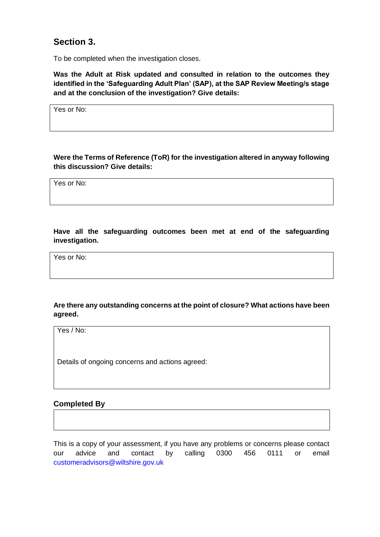## **Section 3.**

To be completed when the investigation closes.

**Was the Adult at Risk updated and consulted in relation to the outcomes they identified in the 'Safeguarding Adult Plan' (SAP), at the SAP Review Meeting/s stage and at the conclusion of the investigation? Give details:**

Yes or No:

**Were the Terms of Reference (ToR) for the investigation altered in anyway following this discussion? Give details:**

Yes or No:

**Have all the safeguarding outcomes been met at end of the safeguarding investigation.**

Yes or No:

## **Are there any outstanding concerns at the point of closure? What actions have been agreed.**

Yes / No:

Details of ongoing concerns and actions agreed:

## **Completed By**

This is a copy of your assessment, if you have any problems or concerns please contact our advice and contact by calling 0300 456 0111 or email [customeradvisors@wiltshire.gov.uk](mailto:customeradvisors@wiltshire.gov.uk)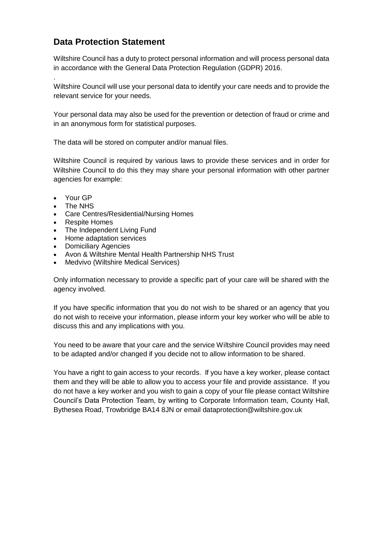## **Data Protection Statement**

Wiltshire Council has a duty to protect personal information and will process personal data in accordance with the General Data Protection Regulation (GDPR) 2016.

Wiltshire Council will use your personal data to identify your care needs and to provide the relevant service for your needs.

Your personal data may also be used for the prevention or detection of fraud or crime and in an anonymous form for statistical purposes.

The data will be stored on computer and/or manual files.

Wiltshire Council is required by various laws to provide these services and in order for Wiltshire Council to do this they may share your personal information with other partner agencies for example:

• Your GP

.

- The NHS
- Care Centres/Residential/Nursing Homes
- Respite Homes
- The Independent Living Fund
- Home adaptation services
- Domiciliary Agencies
- Avon & Wiltshire Mental Health Partnership NHS Trust
- Medvivo (Wiltshire Medical Services)

Only information necessary to provide a specific part of your care will be shared with the agency involved.

If you have specific information that you do not wish to be shared or an agency that you do not wish to receive your information, please inform your key worker who will be able to discuss this and any implications with you.

You need to be aware that your care and the service Wiltshire Council provides may need to be adapted and/or changed if you decide not to allow information to be shared.

You have a right to gain access to your records. If you have a key worker, please contact them and they will be able to allow you to access your file and provide assistance. If you do not have a key worker and you wish to gain a copy of your file please contact Wiltshire Council's Data Protection Team, by writing to Corporate Information team, County Hall, Bythesea Road, Trowbridge BA14 8JN or email dataprotection@wiltshire.gov.uk